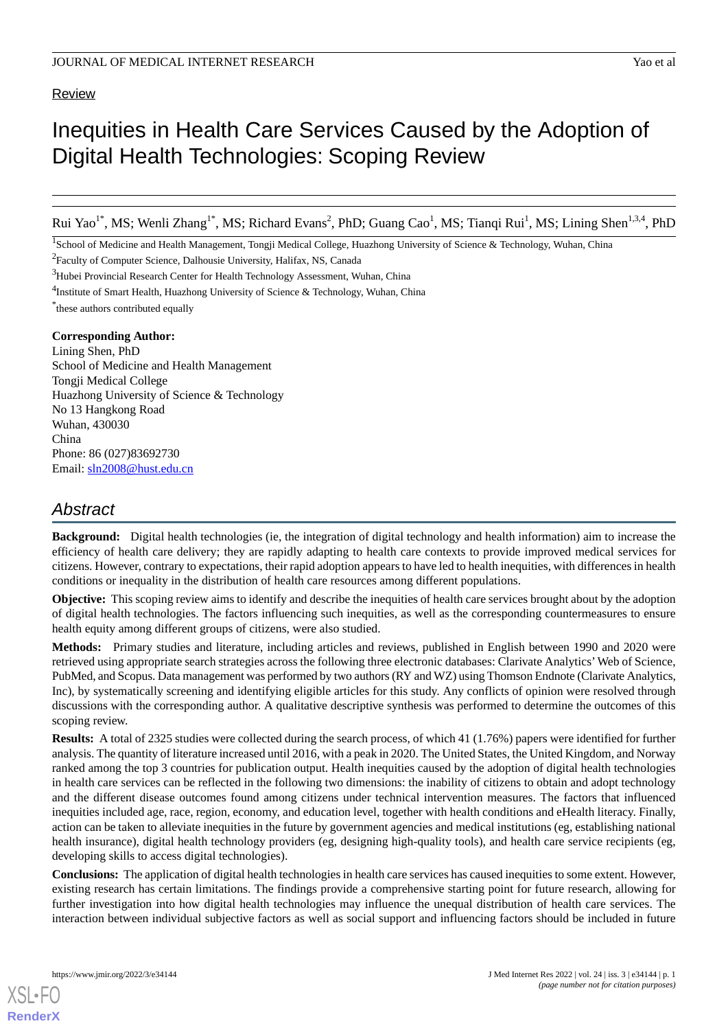# **Review**

Rui Yao<sup>1\*</sup>, MS; Wenli Zhang<sup>1\*</sup>, MS; Richard Evans<sup>2</sup>, PhD; Guang Cao<sup>1</sup>, MS; Tianqi Rui<sup>1</sup>, MS; Lining Shen<sup>1,3,4</sup>, PhD

<sup>1</sup>School of Medicine and Health Management, Tongji Medical College, Huazhong University of Science & Technology, Wuhan, China

<sup>2</sup>Faculty of Computer Science, Dalhousie University, Halifax, NS, Canada

<sup>3</sup>Hubei Provincial Research Center for Health Technology Assessment, Wuhan, China

<sup>4</sup>Institute of Smart Health, Huazhong University of Science & Technology, Wuhan, China

\* these authors contributed equally

# **Corresponding Author:**

Lining Shen, PhD School of Medicine and Health Management Tongji Medical College Huazhong University of Science & Technology No 13 Hangkong Road Wuhan, 430030 China Phone: 86 (027)83692730 Email: [sln2008@hust.edu.cn](mailto:sln2008@hust.edu.cn)

# *Abstract*

**Background:** Digital health technologies (ie, the integration of digital technology and health information) aim to increase the efficiency of health care delivery; they are rapidly adapting to health care contexts to provide improved medical services for citizens. However, contrary to expectations, their rapid adoption appears to have led to health inequities, with differences in health conditions or inequality in the distribution of health care resources among different populations.

**Objective:** This scoping review aims to identify and describe the inequities of health care services brought about by the adoption of digital health technologies. The factors influencing such inequities, as well as the corresponding countermeasures to ensure health equity among different groups of citizens, were also studied.

**Methods:** Primary studies and literature, including articles and reviews, published in English between 1990 and 2020 were retrieved using appropriate search strategies across the following three electronic databases: Clarivate Analytics'Web of Science, PubMed, and Scopus. Data management was performed by two authors (RY and WZ) using Thomson Endnote (Clarivate Analytics, Inc), by systematically screening and identifying eligible articles for this study. Any conflicts of opinion were resolved through discussions with the corresponding author. A qualitative descriptive synthesis was performed to determine the outcomes of this scoping review.

**Results:** A total of 2325 studies were collected during the search process, of which 41 (1.76%) papers were identified for further analysis. The quantity of literature increased until 2016, with a peak in 2020. The United States, the United Kingdom, and Norway ranked among the top 3 countries for publication output. Health inequities caused by the adoption of digital health technologies in health care services can be reflected in the following two dimensions: the inability of citizens to obtain and adopt technology and the different disease outcomes found among citizens under technical intervention measures. The factors that influenced inequities included age, race, region, economy, and education level, together with health conditions and eHealth literacy. Finally, action can be taken to alleviate inequities in the future by government agencies and medical institutions (eg, establishing national health insurance), digital health technology providers (eg, designing high-quality tools), and health care service recipients (eg, developing skills to access digital technologies).

**Conclusions:** The application of digital health technologies in health care services has caused inequities to some extent. However, existing research has certain limitations. The findings provide a comprehensive starting point for future research, allowing for further investigation into how digital health technologies may influence the unequal distribution of health care services. The interaction between individual subjective factors as well as social support and influencing factors should be included in future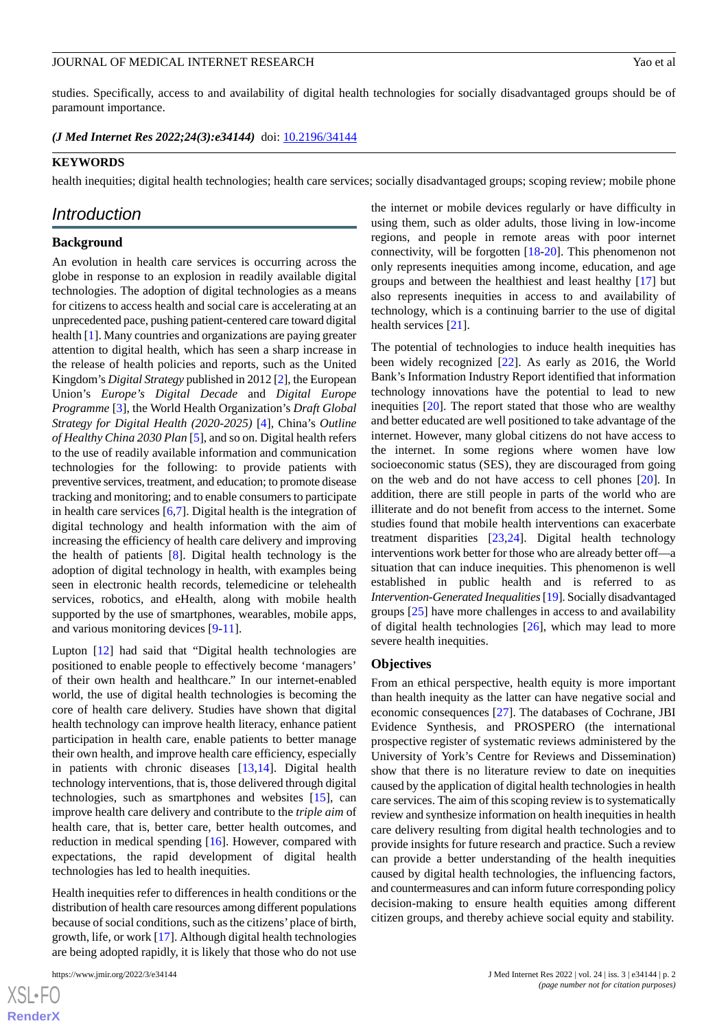studies. Specifically, access to and availability of digital health technologies for socially disadvantaged groups should be of paramount importance.

*(J Med Internet Res 2022;24(3):e34144)* doi:  $10.2196/34144$ 

#### **KEYWORDS**

health inequities; digital health technologies; health care services; socially disadvantaged groups; scoping review; mobile phone

# *Introduction*

#### **Background**

An evolution in health care services is occurring across the globe in response to an explosion in readily available digital technologies. The adoption of digital technologies as a means for citizens to access health and social care is accelerating at an unprecedented pace, pushing patient-centered care toward digital health [\[1](#page-11-0)]. Many countries and organizations are paying greater attention to digital health, which has seen a sharp increase in the release of health policies and reports, such as the United Kingdom's *Digital Strategy* published in 2012 [\[2](#page-12-0)], the European Union's *Europe's Digital Decade* and *Digital Europe Programme* [\[3](#page-12-1)], the World Health Organization's *Draft Global Strategy for Digital Health (2020-2025)* [\[4](#page-12-2)], China's *Outline of Healthy China 2030 Plan* [\[5](#page-12-3)], and so on. Digital health refers to the use of readily available information and communication technologies for the following: to provide patients with preventive services, treatment, and education; to promote disease tracking and monitoring; and to enable consumers to participate in health care services  $[6,7]$  $[6,7]$  $[6,7]$ . Digital health is the integration of digital technology and health information with the aim of increasing the efficiency of health care delivery and improving the health of patients [\[8](#page-12-6)]. Digital health technology is the adoption of digital technology in health, with examples being seen in electronic health records, telemedicine or telehealth services, robotics, and eHealth, along with mobile health supported by the use of smartphones, wearables, mobile apps, and various monitoring devices [[9-](#page-12-7)[11](#page-12-8)].

Lupton [[12\]](#page-12-9) had said that "Digital health technologies are positioned to enable people to effectively become 'managers' of their own health and healthcare." In our internet-enabled world, the use of digital health technologies is becoming the core of health care delivery. Studies have shown that digital health technology can improve health literacy, enhance patient participation in health care, enable patients to better manage their own health, and improve health care efficiency, especially in patients with chronic diseases [\[13](#page-12-10)[,14](#page-12-11)]. Digital health technology interventions, that is, those delivered through digital technologies, such as smartphones and websites [[15\]](#page-12-12), can improve health care delivery and contribute to the *triple aim* of health care, that is, better care, better health outcomes, and reduction in medical spending [\[16](#page-12-13)]. However, compared with expectations, the rapid development of digital health technologies has led to health inequities.

Health inequities refer to differences in health conditions or the distribution of health care resources among different populations because of social conditions, such as the citizens'place of birth, growth, life, or work [\[17](#page-12-14)]. Although digital health technologies are being adopted rapidly, it is likely that those who do not use

the internet or mobile devices regularly or have difficulty in using them, such as older adults, those living in low-income regions, and people in remote areas with poor internet connectivity, will be forgotten [[18](#page-12-15)[-20](#page-12-16)]. This phenomenon not only represents inequities among income, education, and age groups and between the healthiest and least healthy [\[17](#page-12-14)] but also represents inequities in access to and availability of technology, which is a continuing barrier to the use of digital health services [[21\]](#page-12-17).

The potential of technologies to induce health inequities has been widely recognized [[22\]](#page-12-18). As early as 2016, the World Bank's Information Industry Report identified that information technology innovations have the potential to lead to new inequities [\[20](#page-12-16)]. The report stated that those who are wealthy and better educated are well positioned to take advantage of the internet. However, many global citizens do not have access to the internet. In some regions where women have low socioeconomic status (SES), they are discouraged from going on the web and do not have access to cell phones [\[20](#page-12-16)]. In addition, there are still people in parts of the world who are illiterate and do not benefit from access to the internet. Some studies found that mobile health interventions can exacerbate treatment disparities [[23,](#page-12-19)[24](#page-12-20)]. Digital health technology interventions work better for those who are already better off—a situation that can induce inequities. This phenomenon is well established in public health and is referred to as *Intervention-Generated Inequalities*[\[19\]](#page-12-21). Socially disadvantaged groups [[25\]](#page-12-22) have more challenges in access to and availability of digital health technologies [\[26](#page-12-23)], which may lead to more severe health inequities.

### **Objectives**

From an ethical perspective, health equity is more important than health inequity as the latter can have negative social and economic consequences [\[27](#page-13-0)]. The databases of Cochrane, JBI Evidence Synthesis, and PROSPERO (the international prospective register of systematic reviews administered by the University of York's Centre for Reviews and Dissemination) show that there is no literature review to date on inequities caused by the application of digital health technologies in health care services. The aim of this scoping review is to systematically review and synthesize information on health inequities in health care delivery resulting from digital health technologies and to provide insights for future research and practice. Such a review can provide a better understanding of the health inequities caused by digital health technologies, the influencing factors, and countermeasures and can inform future corresponding policy decision-making to ensure health equities among different citizen groups, and thereby achieve social equity and stability.

 $XS$ -FO **[RenderX](http://www.renderx.com/)**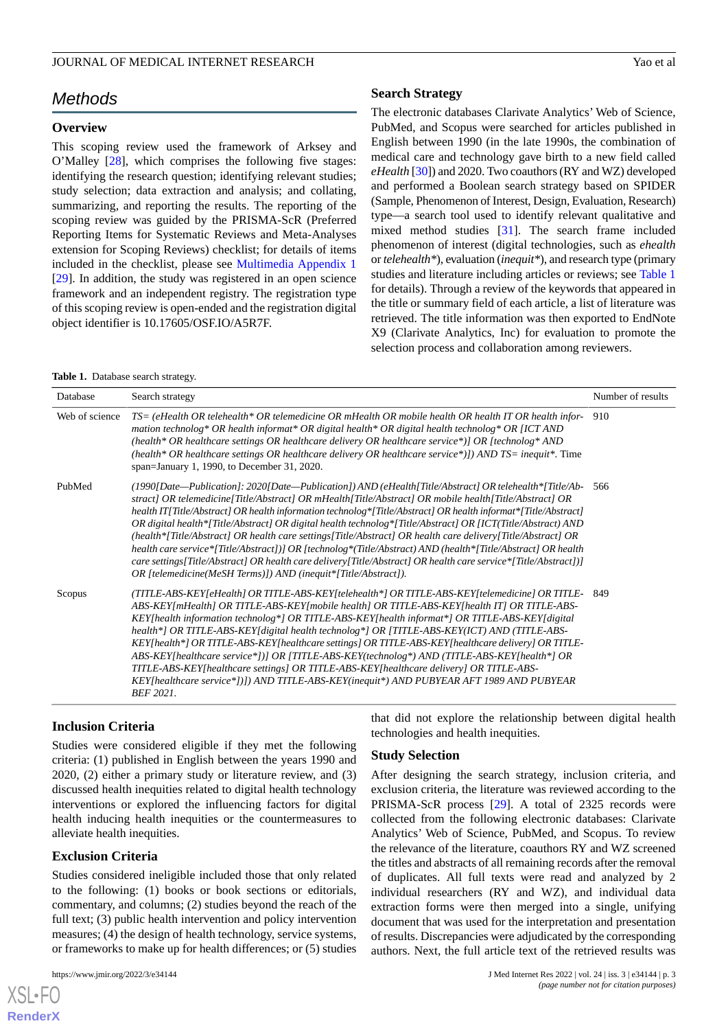# *Methods*

### **Overview**

This scoping review used the framework of Arksey and O'Malley [\[28](#page-13-1)], which comprises the following five stages: identifying the research question; identifying relevant studies; study selection; data extraction and analysis; and collating, summarizing, and reporting the results. The reporting of the scoping review was guided by the PRISMA-ScR (Preferred Reporting Items for Systematic Reviews and Meta-Analyses extension for Scoping Reviews) checklist; for details of items included in the checklist, please see [Multimedia Appendix 1](#page-11-1) [[29\]](#page-13-2). In addition, the study was registered in an open science framework and an independent registry. The registration type of this scoping review is open-ended and the registration digital object identifier is 10.17605/OSF.IO/A5R7F.

# **Search Strategy**

The electronic databases Clarivate Analytics' Web of Science, PubMed, and Scopus were searched for articles published in English between 1990 (in the late 1990s, the combination of medical care and technology gave birth to a new field called *eHealth* [\[30\]](#page-13-3)) and 2020. Two coauthors (RY and WZ) developed and performed a Boolean search strategy based on SPIDER (Sample, Phenomenon of Interest, Design, Evaluation, Research) type—a search tool used to identify relevant qualitative and mixed method studies [\[31](#page-13-4)]. The search frame included phenomenon of interest (digital technologies, such as *ehealth* or *telehealth\**), evaluation (*inequit\**), and research type (primary studies and literature including articles or reviews; see [Table 1](#page-2-0) for details). Through a review of the keywords that appeared in the title or summary field of each article, a list of literature was retrieved. The title information was then exported to EndNote X9 (Clarivate Analytics, Inc) for evaluation to promote the selection process and collaboration among reviewers.

#### <span id="page-2-0"></span>**Table 1.** Database search strategy.

| Database       | Search strategy                                                                                                                                                                                                                                                                                                                                                                                                                                                                                                                                                                                                                                                                                                                                                                                                                                                       | Number of results |
|----------------|-----------------------------------------------------------------------------------------------------------------------------------------------------------------------------------------------------------------------------------------------------------------------------------------------------------------------------------------------------------------------------------------------------------------------------------------------------------------------------------------------------------------------------------------------------------------------------------------------------------------------------------------------------------------------------------------------------------------------------------------------------------------------------------------------------------------------------------------------------------------------|-------------------|
| Web of science | $TS = (eHealth OR telehealth * OR telemediate OR mHealth OR mobile health OR health IT OR health inform)$<br>mation technolog* OR health informat* OR digital health* OR digital health technolog* OR [ICT AND<br>(health* OR healthcare settings OR healthcare delivery OR healthcare service*)] OR [technolog* AND<br>(health* OR healthcare settings OR healthcare delivery OR healthcare service*)]) AND TS= inequit*. Time<br>span=January 1, 1990, to December 31, 2020.                                                                                                                                                                                                                                                                                                                                                                                        | 910               |
| PubMed         | (1990[Date—Publication]: 2020[Date—Publication]) AND (eHealth[Title/Abstract] OR telehealth*[Title/Ab-<br>stract] OR telemedicine[Title/Abstract] OR mHealth[Title/Abstract] OR mobile health[Title/Abstract] OR<br>health IT[Title/Abstract] OR health information technolog*[Title/Abstract] OR health informat*[Title/Abstract]<br>OR digital health*[Title/Abstract] OR digital health technolog*[Title/Abstract] OR [ICT(Title/Abstract) AND<br>(health*[Title/Abstract] OR health care settings[Title/Abstract] OR health care delivery[Title/Abstract] OR<br>health care service*[Title/Abstract])] OR [technolog*(Title/Abstract) AND (health*[Title/Abstract] OR health<br>care settings[Title/Abstract] OR health care delivery[Title/Abstract] OR health care service*[Title/Abstract])]<br>OR [telemedicine(MeSH Terms)]) AND (inequit*[Title/Abstract]). | 566               |
| Scopus         | (TITLE-ABS-KEY[eHealth] OR TITLE-ABS-KEY[telehealth*] OR TITLE-ABS-KEY[telemedicine] OR TITLE-<br>ABS-KEY[mHealth] OR TITLE-ABS-KEY[mobile health] OR TITLE-ABS-KEY[health IT] OR TITLE-ABS-<br>KEY health information technolog*  OR TITLE-ABS-KEY health informat*  OR TITLE-ABS-KEY digital<br>health*] OR TITLE-ABS-KEY[digital health technolog*] OR [TITLE-ABS-KEY(ICT) AND (TITLE-ABS-<br>KEY[health*] OR TITLE-ABS-KEY[healthcare settings] OR TITLE-ABS-KEY[healthcare delivery] OR TITLE-<br>ABS-KEY[healthcare service*])] OR [TITLE-ABS-KEY(technolog*) AND (TITLE-ABS-KEY[health*] OR<br>TITLE-ABS-KEY[healthcare settings] OR TITLE-ABS-KEY[healthcare delivery] OR TITLE-ABS-<br>KEY[healthcare service*])]) AND TITLE-ABS-KEY(inequit*) AND PUBYEAR AFT 1989 AND PUBYEAR<br><b>BEF 2021.</b>                                                          | -849              |

## **Inclusion Criteria**

Studies were considered eligible if they met the following criteria: (1) published in English between the years 1990 and 2020, (2) either a primary study or literature review, and (3) discussed health inequities related to digital health technology interventions or explored the influencing factors for digital health inducing health inequities or the countermeasures to alleviate health inequities.

# **Exclusion Criteria**

Studies considered ineligible included those that only related to the following: (1) books or book sections or editorials, commentary, and columns; (2) studies beyond the reach of the full text; (3) public health intervention and policy intervention measures; (4) the design of health technology, service systems, or frameworks to make up for health differences; or (5) studies

 $X$ SL•F $C$ **[RenderX](http://www.renderx.com/)** that did not explore the relationship between digital health technologies and health inequities.

#### **Study Selection**

After designing the search strategy, inclusion criteria, and exclusion criteria, the literature was reviewed according to the PRISMA-ScR process [\[29](#page-13-2)]. A total of 2325 records were collected from the following electronic databases: Clarivate Analytics' Web of Science, PubMed, and Scopus. To review the relevance of the literature, coauthors RY and WZ screened the titles and abstracts of all remaining records after the removal of duplicates. All full texts were read and analyzed by 2 individual researchers (RY and WZ), and individual data extraction forms were then merged into a single, unifying document that was used for the interpretation and presentation of results. Discrepancies were adjudicated by the corresponding authors. Next, the full article text of the retrieved results was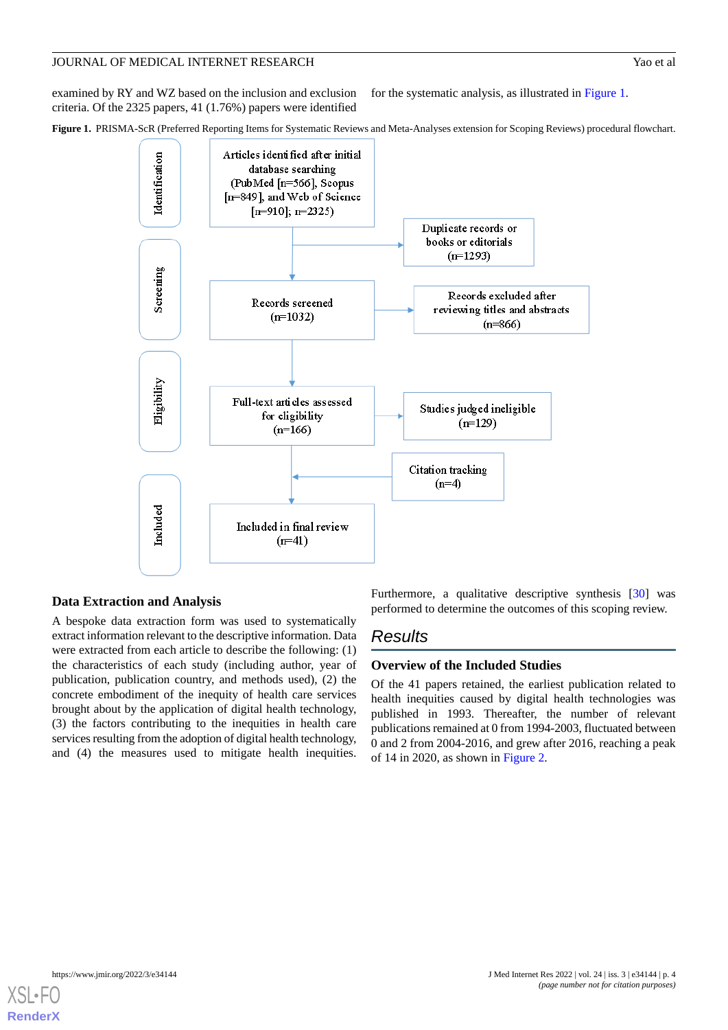examined by RY and WZ based on the inclusion and exclusion criteria. Of the 2325 papers, 41 (1.76%) papers were identified for the systematic analysis, as illustrated in [Figure 1.](#page-3-0)

<span id="page-3-0"></span>**Figure 1.** PRISMA-ScR (Preferred Reporting Items for Systematic Reviews and Meta-Analyses extension for Scoping Reviews) procedural flowchart.



# **Data Extraction and Analysis**

A bespoke data extraction form was used to systematically extract information relevant to the descriptive information. Data were extracted from each article to describe the following: (1) the characteristics of each study (including author, year of publication, publication country, and methods used), (2) the concrete embodiment of the inequity of health care services brought about by the application of digital health technology, (3) the factors contributing to the inequities in health care services resulting from the adoption of digital health technology, and (4) the measures used to mitigate health inequities.

Furthermore, a qualitative descriptive synthesis [[30\]](#page-13-3) was performed to determine the outcomes of this scoping review.

# *Results*

# **Overview of the Included Studies**

Of the 41 papers retained, the earliest publication related to health inequities caused by digital health technologies was published in 1993. Thereafter, the number of relevant publications remained at 0 from 1994-2003, fluctuated between 0 and 2 from 2004-2016, and grew after 2016, reaching a peak of 14 in 2020, as shown in [Figure 2](#page-4-0).

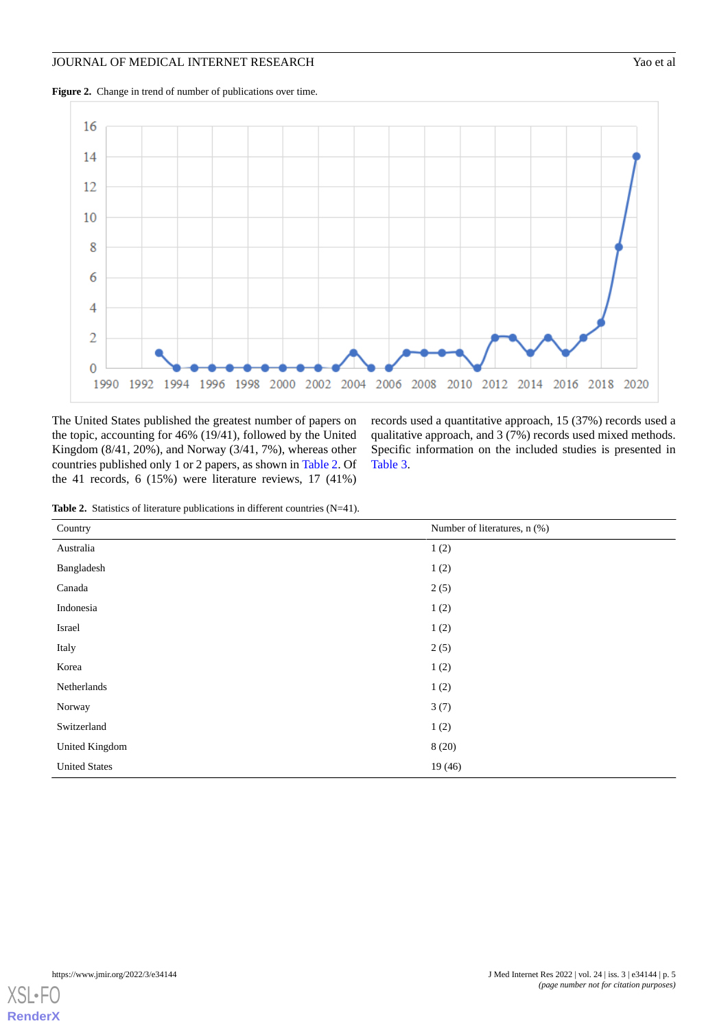<span id="page-4-0"></span>



<span id="page-4-1"></span>The United States published the greatest number of papers on the topic, accounting for 46% (19/41), followed by the United Kingdom (8/41, 20%), and Norway (3/41, 7%), whereas other countries published only 1 or 2 papers, as shown in [Table 2](#page-4-1). Of the 41 records, 6 (15%) were literature reviews, 17 (41%)

records used a quantitative approach, 15 (37%) records used a qualitative approach, and 3 (7%) records used mixed methods. Specific information on the included studies is presented in [Table 3](#page-5-0).

|  | <b>Table 2.</b> Statistics of literature publications in different countries $(N=41)$ . |  |  |  |  |  |
|--|-----------------------------------------------------------------------------------------|--|--|--|--|--|
|--|-----------------------------------------------------------------------------------------|--|--|--|--|--|

| Country              | Number of literatures, n (%) |
|----------------------|------------------------------|
| Australia            | 1(2)                         |
| Bangladesh           | 1(2)                         |
| Canada               | 2(5)                         |
| Indonesia            | 1(2)                         |
| Israel               | 1(2)                         |
| Italy                | 2(5)                         |
| Korea                | 1(2)                         |
| Netherlands          | 1(2)                         |
| Norway               | 3(7)                         |
| Switzerland          | 1(2)                         |
| United Kingdom       | 8(20)                        |
| <b>United States</b> | 19(46)                       |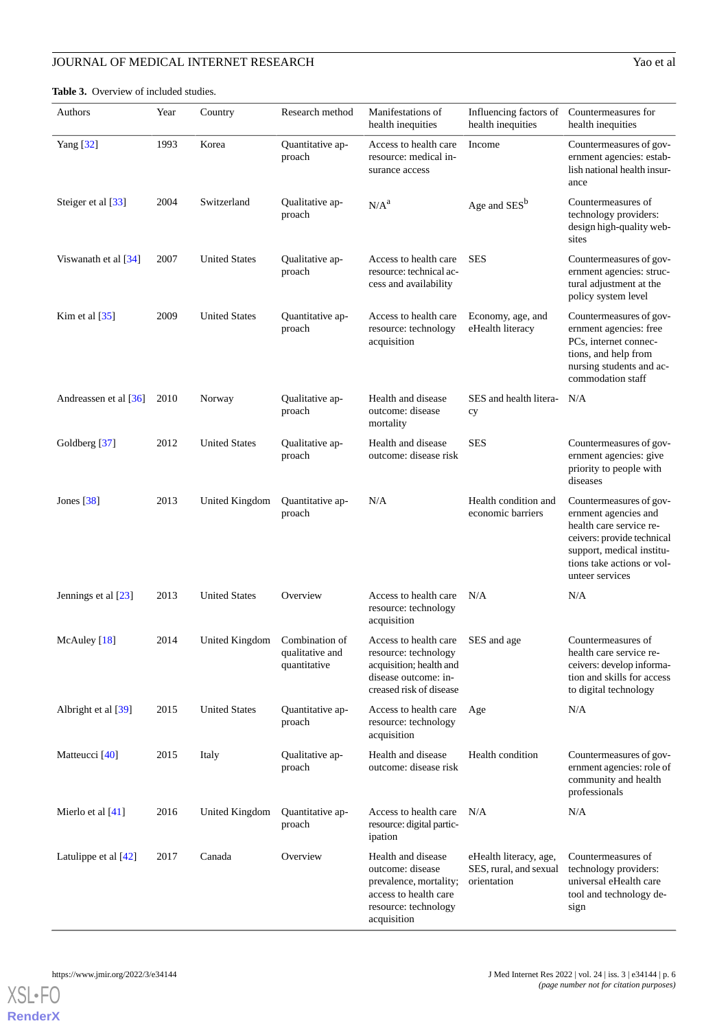<span id="page-5-0"></span>Table 3. Overview of included studies.

| Authors                | Year | Country              | Research method                                   | Manifestations of<br>health inequities                                                                                                  | Influencing factors of<br>health inequities                     | Countermeasures for<br>health inequities                                                                                                                                               |
|------------------------|------|----------------------|---------------------------------------------------|-----------------------------------------------------------------------------------------------------------------------------------------|-----------------------------------------------------------------|----------------------------------------------------------------------------------------------------------------------------------------------------------------------------------------|
| Yang [32]              | 1993 | Korea                | Quantitative ap-<br>proach                        | Access to health care<br>resource: medical in-<br>surance access                                                                        | Income                                                          | Countermeasures of gov-<br>ernment agencies: estab-<br>lish national health insur-<br>ance                                                                                             |
| Steiger et al [33]     | 2004 | Switzerland          | Qualitative ap-<br>proach                         | N/A <sup>a</sup>                                                                                                                        | Age and SES <sup>b</sup>                                        | Countermeasures of<br>technology providers:<br>design high-quality web-<br>sites                                                                                                       |
| Viswanath et al $[34]$ | 2007 | <b>United States</b> | Qualitative ap-<br>proach                         | Access to health care<br>resource: technical ac-<br>cess and availability                                                               | <b>SES</b>                                                      | Countermeasures of gov-<br>ernment agencies: struc-<br>tural adjustment at the<br>policy system level                                                                                  |
| Kim et al $[35]$       | 2009 | <b>United States</b> | Quantitative ap-<br>proach                        | Access to health care<br>resource: technology<br>acquisition                                                                            | Economy, age, and<br>eHealth literacy                           | Countermeasures of gov-<br>ernment agencies: free<br>PCs, internet connec-<br>tions, and help from<br>nursing students and ac-<br>commodation staff                                    |
| Andreassen et al [36]  | 2010 | Norway               | Qualitative ap-<br>proach                         | Health and disease<br>outcome: disease<br>mortality                                                                                     | SES and health litera-<br>cy                                    | N/A                                                                                                                                                                                    |
| Goldberg [37]          | 2012 | <b>United States</b> | Qualitative ap-<br>proach                         | Health and disease<br>outcome: disease risk                                                                                             | <b>SES</b>                                                      | Countermeasures of gov-<br>ernment agencies: give<br>priority to people with<br>diseases                                                                                               |
| Jones $[38]$           | 2013 | United Kingdom       | Quantitative ap-<br>proach                        | N/A                                                                                                                                     | Health condition and<br>economic barriers                       | Countermeasures of gov-<br>ernment agencies and<br>health care service re-<br>ceivers: provide technical<br>support, medical institu-<br>tions take actions or vol-<br>unteer services |
| Jennings et al [23]    | 2013 | <b>United States</b> | Overview                                          | Access to health care<br>resource: technology<br>acquisition                                                                            | N/A                                                             | N/A                                                                                                                                                                                    |
| McAuley [18]           | 2014 | United Kingdom       | Combination of<br>qualitative and<br>quantitative | Access to health care SES and age<br>resource: technology<br>acquisition; health and<br>disease outcome: in-<br>creased risk of disease |                                                                 | Countermeasures of<br>health care service re-<br>ceivers: develop informa-<br>tion and skills for access<br>to digital technology                                                      |
| Albright et al [39]    | 2015 | <b>United States</b> | Quantitative ap-<br>proach                        | Access to health care<br>resource: technology<br>acquisition                                                                            | Age                                                             | N/A                                                                                                                                                                                    |
| Matteucci [40]         | 2015 | Italy                | Qualitative ap-<br>proach                         | Health and disease<br>outcome: disease risk                                                                                             | Health condition                                                | Countermeasures of gov-<br>ernment agencies: role of<br>community and health<br>professionals                                                                                          |
| Mierlo et al [41]      | 2016 | United Kingdom       | Quantitative ap-<br>proach                        | Access to health care<br>resource: digital partic-<br>ipation                                                                           | N/A                                                             | N/A                                                                                                                                                                                    |
| Latulippe et al $[42]$ | 2017 | Canada               | Overview                                          | Health and disease<br>outcome: disease<br>prevalence, mortality;<br>access to health care<br>resource: technology<br>acquisition        | eHealth literacy, age,<br>SES, rural, and sexual<br>orientation | Countermeasures of<br>technology providers:<br>universal eHealth care<br>tool and technology de-<br>sign                                                                               |

**[RenderX](http://www.renderx.com/)**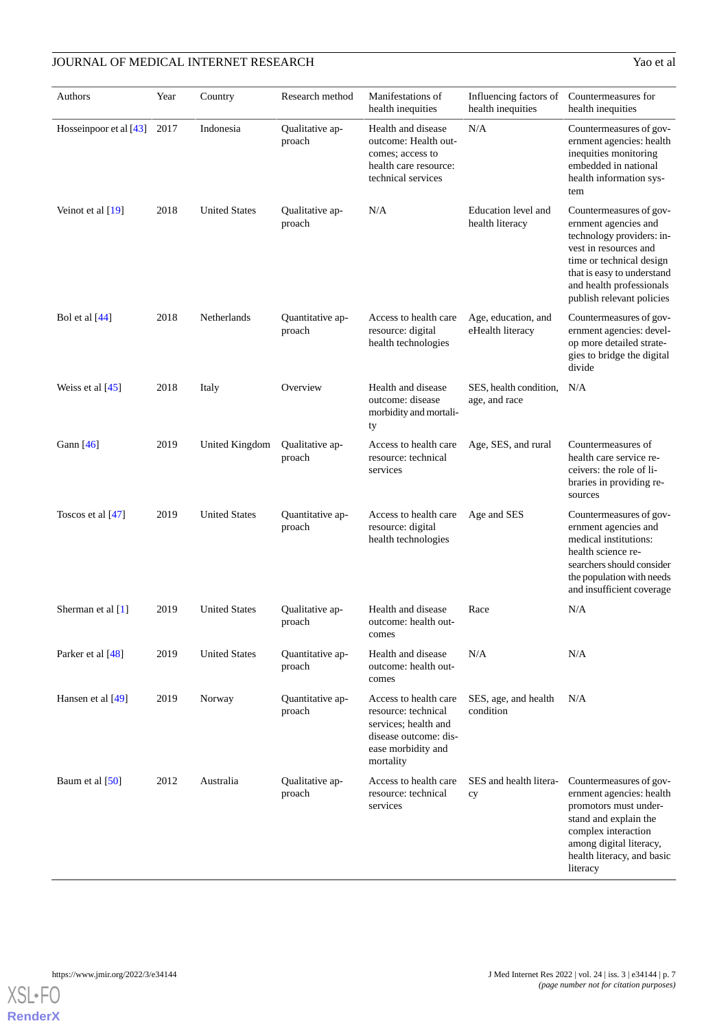| Authors                  | Year | Country              | Research method            | Manifestations of<br>health inequities                                                                                           | Influencing factors of<br>health inequities | Countermeasures for<br>health inequities                                                                                                                                                                                 |
|--------------------------|------|----------------------|----------------------------|----------------------------------------------------------------------------------------------------------------------------------|---------------------------------------------|--------------------------------------------------------------------------------------------------------------------------------------------------------------------------------------------------------------------------|
| Hosseinpoor et al $[43]$ | 2017 | Indonesia            | Qualitative ap-<br>proach  | Health and disease<br>outcome: Health out-<br>comes; access to<br>health care resource:<br>technical services                    | N/A                                         | Countermeasures of gov-<br>ernment agencies: health<br>inequities monitoring<br>embedded in national<br>health information sys-<br>tem                                                                                   |
| Veinot et al $[19]$      | 2018 | <b>United States</b> | Qualitative ap-<br>proach  | N/A                                                                                                                              | Education level and<br>health literacy      | Countermeasures of gov-<br>ernment agencies and<br>technology providers: in-<br>vest in resources and<br>time or technical design<br>that is easy to understand<br>and health professionals<br>publish relevant policies |
| Bol et al [44]           | 2018 | Netherlands          | Quantitative ap-<br>proach | Access to health care<br>resource: digital<br>health technologies                                                                | Age, education, and<br>eHealth literacy     | Countermeasures of gov-<br>ernment agencies: devel-<br>op more detailed strate-<br>gies to bridge the digital<br>divide                                                                                                  |
| Weiss et al $[45]$       | 2018 | Italy                | Overview                   | Health and disease<br>outcome: disease<br>morbidity and mortali-<br>ty                                                           | SES, health condition,<br>age, and race     | N/A                                                                                                                                                                                                                      |
| Gann $[46]$              | 2019 | United Kingdom       | Qualitative ap-<br>proach  | Access to health care<br>resource: technical<br>services                                                                         | Age, SES, and rural                         | Countermeasures of<br>health care service re-<br>ceivers: the role of li-<br>braries in providing re-<br>sources                                                                                                         |
| Toscos et al [47]        | 2019 | <b>United States</b> | Quantitative ap-<br>proach | Access to health care<br>resource: digital<br>health technologies                                                                | Age and SES                                 | Countermeasures of gov-<br>ernment agencies and<br>medical institutions:<br>health science re-<br>searchers should consider<br>the population with needs<br>and insufficient coverage                                    |
| Sherman et al $[1]$      | 2019 | <b>United States</b> | Oualitative ap-<br>proach  | Health and disease<br>outcome: health out-<br>comes                                                                              | Race                                        | N/A                                                                                                                                                                                                                      |
| Parker et al [48]        | 2019 | <b>United States</b> | Quantitative ap-<br>proach | Health and disease<br>outcome: health out-<br>comes                                                                              | N/A                                         | N/A                                                                                                                                                                                                                      |
| Hansen et al [49]        | 2019 | Norway               | Quantitative ap-<br>proach | Access to health care<br>resource: technical<br>services; health and<br>disease outcome: dis-<br>ease morbidity and<br>mortality | SES, age, and health<br>condition           | N/A                                                                                                                                                                                                                      |
| Baum et al [50]          | 2012 | Australia            | Qualitative ap-<br>proach  | Access to health care<br>resource: technical<br>services                                                                         | SES and health litera-<br>cy                | Countermeasures of gov-<br>ernment agencies: health<br>promotors must under-<br>stand and explain the<br>complex interaction<br>among digital literacy,<br>health literacy, and basic<br>literacy                        |

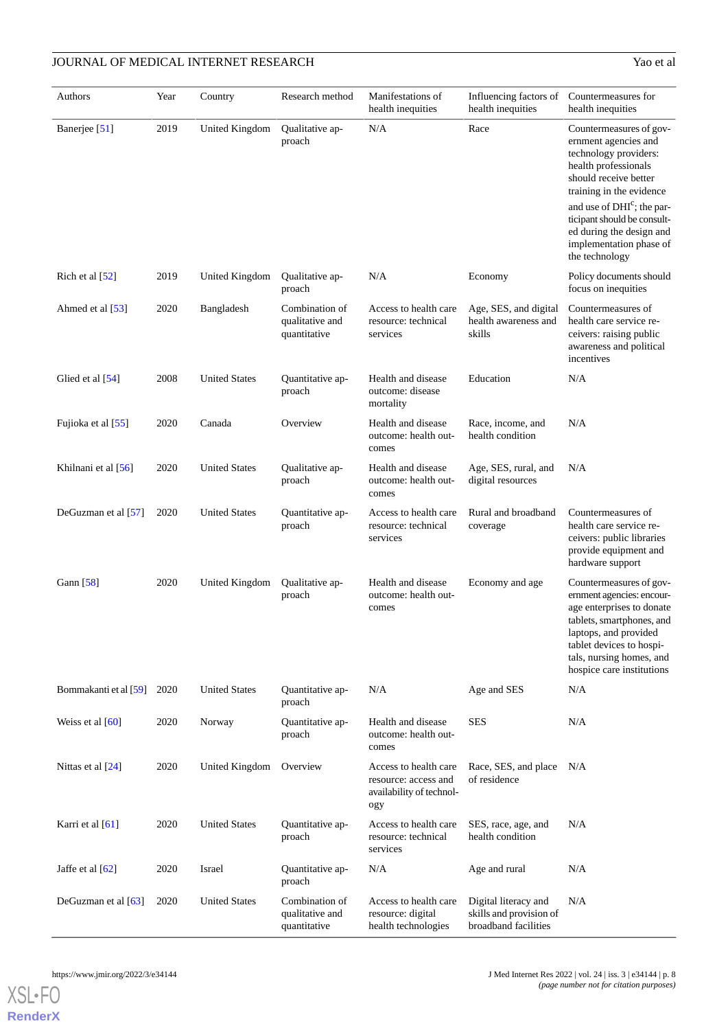| Authors               | Year | Country              | Research method                                   | Manifestations of<br>health inequities                                           | Influencing factors of<br>health inequities                             | Countermeasures for<br>health inequities                                                                                                                                                                                                                                                                |
|-----------------------|------|----------------------|---------------------------------------------------|----------------------------------------------------------------------------------|-------------------------------------------------------------------------|---------------------------------------------------------------------------------------------------------------------------------------------------------------------------------------------------------------------------------------------------------------------------------------------------------|
| Banerjee [51]         | 2019 | United Kingdom       | Qualitative ap-<br>proach                         | N/A                                                                              | Race                                                                    | Countermeasures of gov-<br>ernment agencies and<br>technology providers:<br>health professionals<br>should receive better<br>training in the evidence<br>and use of DHI <sup>c</sup> ; the par-<br>ticipant should be consult-<br>ed during the design and<br>implementation phase of<br>the technology |
| Rich et al $[52]$     | 2019 | United Kingdom       | Qualitative ap-<br>proach                         | N/A                                                                              | Economy                                                                 | Policy documents should<br>focus on inequities                                                                                                                                                                                                                                                          |
| Ahmed et al [53]      | 2020 | Bangladesh           | Combination of<br>qualitative and<br>quantitative | Access to health care<br>resource: technical<br>services                         | Age, SES, and digital<br>health awareness and<br>skills                 | Countermeasures of<br>health care service re-<br>ceivers: raising public<br>awareness and political<br>incentives                                                                                                                                                                                       |
| Glied et al [54]      | 2008 | <b>United States</b> | Quantitative ap-<br>proach                        | Health and disease<br>outcome: disease<br>mortality                              | Education                                                               | N/A                                                                                                                                                                                                                                                                                                     |
| Fujioka et al [55]    | 2020 | Canada               | Overview                                          | Health and disease<br>outcome: health out-<br>comes                              | Race, income, and<br>health condition                                   | N/A                                                                                                                                                                                                                                                                                                     |
| Khilnani et al [56]   | 2020 | <b>United States</b> | Qualitative ap-<br>proach                         | Health and disease<br>outcome: health out-<br>comes                              | Age, SES, rural, and<br>digital resources                               | N/A                                                                                                                                                                                                                                                                                                     |
| DeGuzman et al [57]   | 2020 | <b>United States</b> | Quantitative ap-<br>proach                        | Access to health care<br>resource: technical<br>services                         | Rural and broadband<br>coverage                                         | Countermeasures of<br>health care service re-<br>ceivers: public libraries<br>provide equipment and<br>hardware support                                                                                                                                                                                 |
| Gann [58]             | 2020 | United Kingdom       | Qualitative ap-<br>proach                         | Health and disease<br>outcome: health out-<br>comes                              | Economy and age                                                         | Countermeasures of gov-<br>ernment agencies: encour-<br>age enterprises to donate<br>tablets, smartphones, and<br>laptops, and provided<br>tablet devices to hospi-<br>tals, nursing homes, and<br>hospice care institutions                                                                            |
| Bommakanti et al [59] | 2020 | <b>United States</b> | Quantitative ap-<br>proach                        | N/A                                                                              | Age and SES                                                             | N/A                                                                                                                                                                                                                                                                                                     |
| Weiss et al $[60]$    | 2020 | Norway               | Quantitative ap-<br>proach                        | Health and disease<br>outcome: health out-<br>comes                              | <b>SES</b>                                                              | N/A                                                                                                                                                                                                                                                                                                     |
| Nittas et al [24]     | 2020 | United Kingdom       | Overview                                          | Access to health care<br>resource: access and<br>availability of technol-<br>ogy | Race, SES, and place<br>of residence                                    | N/A                                                                                                                                                                                                                                                                                                     |
| Karri et al [61]      | 2020 | <b>United States</b> | Quantitative ap-<br>proach                        | Access to health care<br>resource: technical<br>services                         | SES, race, age, and<br>health condition                                 | N/A                                                                                                                                                                                                                                                                                                     |
| Jaffe et al [62]      | 2020 | Israel               | Quantitative ap-<br>proach                        | N/A                                                                              | Age and rural                                                           | N/A                                                                                                                                                                                                                                                                                                     |
| DeGuzman et al [63]   | 2020 | <b>United States</b> | Combination of<br>qualitative and<br>quantitative | Access to health care<br>resource: digital<br>health technologies                | Digital literacy and<br>skills and provision of<br>broadband facilities | N/A                                                                                                                                                                                                                                                                                                     |

**[RenderX](http://www.renderx.com/)**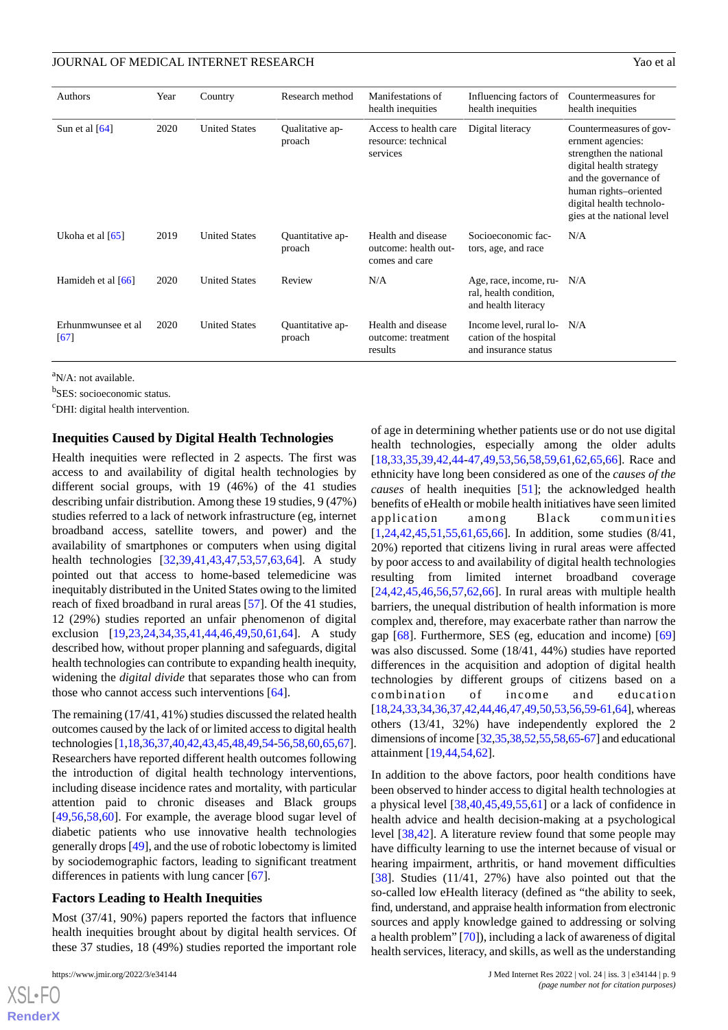| Authors                    | Year | Country              | Research method            | Manifestations of<br>health inequities                       | Influencing factors of<br>health inequities                               | Countermeasures for<br>health inequities                                                                                                                                                                       |
|----------------------------|------|----------------------|----------------------------|--------------------------------------------------------------|---------------------------------------------------------------------------|----------------------------------------------------------------------------------------------------------------------------------------------------------------------------------------------------------------|
| Sun et al $[64]$           | 2020 | <b>United States</b> | Qualitative ap-<br>proach  | Access to health care<br>resource: technical<br>services     | Digital literacy                                                          | Countermeasures of gov-<br>ernment agencies:<br>strengthen the national<br>digital health strategy<br>and the governance of<br>human rights-oriented<br>digital health technolo-<br>gies at the national level |
| Ukoha et al $[65]$         | 2019 | <b>United States</b> | Quantitative ap-<br>proach | Health and disease<br>outcome: health out-<br>comes and care | Socioeconomic fac-<br>tors, age, and race                                 | N/A                                                                                                                                                                                                            |
| Hamideh et al [66]         | 2020 | <b>United States</b> | Review                     | N/A                                                          | Age, race, income, ru-<br>ral, health condition,<br>and health literacy   | N/A                                                                                                                                                                                                            |
| Erhunmwunsee et al<br>[67] | 2020 | <b>United States</b> | Quantitative ap-<br>proach | Health and disease<br>outcome: treatment<br>results          | Income level, rural lo-<br>cation of the hospital<br>and insurance status | N/A                                                                                                                                                                                                            |

<sup>a</sup>N/A: not available.

<sup>b</sup>SES: socioeconomic status.

<sup>c</sup>DHI: digital health intervention.

#### **Inequities Caused by Digital Health Technologies**

Health inequities were reflected in 2 aspects. The first was access to and availability of digital health technologies by different social groups, with 19 (46%) of the 41 studies describing unfair distribution. Among these 19 studies, 9 (47%) studies referred to a lack of network infrastructure (eg, internet broadband access, satellite towers, and power) and the availability of smartphones or computers when using digital health technologies [[32](#page-13-5)[,39](#page-13-12),[41](#page-13-14)[,43](#page-13-16),[47](#page-13-20)[,53](#page-14-3),[57](#page-14-7)[,63](#page-14-13),[64\]](#page-14-14). A study pointed out that access to home-based telemedicine was inequitably distributed in the United States owing to the limited reach of fixed broadband in rural areas [[57\]](#page-14-7). Of the 41 studies, 12 (29%) studies reported an unfair phenomenon of digital exclusion [\[19](#page-12-21),[23,](#page-12-19)[24,](#page-12-20)[34](#page-13-7)[,35](#page-13-8),[41,](#page-13-14)[44,](#page-13-17)[46](#page-13-19)[,49](#page-13-22),[50,](#page-14-0)[61,](#page-14-11)[64\]](#page-14-14). A study described how, without proper planning and safeguards, digital health technologies can contribute to expanding health inequity, widening the *digital divide* that separates those who can from those who cannot access such interventions [[64\]](#page-14-14).

The remaining (17/41, 41%) studies discussed the related health outcomes caused by the lack of or limited access to digital health technologies [\[1](#page-11-0)[,18](#page-12-15),[36](#page-13-9),[37,](#page-13-10)[40](#page-13-13)[,42](#page-13-15)[,43](#page-13-16),[45](#page-13-18),[48,](#page-13-21)[49](#page-13-22)[,54](#page-14-4)[-56](#page-14-6),[58](#page-14-8),[60,](#page-14-10)[65,](#page-14-15)[67\]](#page-14-17). Researchers have reported different health outcomes following the introduction of digital health technology interventions, including disease incidence rates and mortality, with particular attention paid to chronic diseases and Black groups [[49](#page-13-22)[,56](#page-14-6),[58](#page-14-8)[,60](#page-14-10)]. For example, the average blood sugar level of diabetic patients who use innovative health technologies generally drops [\[49](#page-13-22)], and the use of robotic lobectomy is limited by sociodemographic factors, leading to significant treatment differences in patients with lung cancer [[67\]](#page-14-17).

#### **Factors Leading to Health Inequities**

Most (37/41, 90%) papers reported the factors that influence health inequities brought about by digital health services. Of these 37 studies, 18 (49%) studies reported the important role

 $XS$  • FC **[RenderX](http://www.renderx.com/)** of age in determining whether patients use or do not use digital health technologies, especially among the older adults [[18,](#page-12-15)[33,](#page-13-6)[35](#page-13-8)[,39](#page-13-12),[42,](#page-13-15)[44-](#page-13-17)[47](#page-13-20)[,49](#page-13-22),[53](#page-14-3)[,56](#page-14-6),[58](#page-14-8)[,59](#page-14-9),[61](#page-14-11)[,62](#page-14-12),[65](#page-14-15)[,66](#page-14-16)]. Race and ethnicity have long been considered as one of the *causes of the causes* of health inequities [\[51](#page-14-1)]; the acknowledged health benefits of eHealth or mobile health initiatives have seen limited application among Black communities [[1](#page-11-0)[,24](#page-12-20),[42,](#page-13-15)[45,](#page-13-18)[51](#page-14-1)[,55](#page-14-5),[61,](#page-14-11)[65,](#page-14-15)[66\]](#page-14-16). In addition, some studies (8/41, 20%) reported that citizens living in rural areas were affected by poor access to and availability of digital health technologies resulting from limited internet broadband coverage  $[24,42,45,46,56,57,62,66]$  $[24,42,45,46,56,57,62,66]$  $[24,42,45,46,56,57,62,66]$  $[24,42,45,46,56,57,62,66]$  $[24,42,45,46,56,57,62,66]$  $[24,42,45,46,56,57,62,66]$  $[24,42,45,46,56,57,62,66]$  $[24,42,45,46,56,57,62,66]$  $[24,42,45,46,56,57,62,66]$  $[24,42,45,46,56,57,62,66]$  $[24,42,45,46,56,57,62,66]$ . In rural areas with multiple health barriers, the unequal distribution of health information is more complex and, therefore, may exacerbate rather than narrow the gap [[68\]](#page-14-18). Furthermore, SES (eg, education and income) [\[69](#page-14-19)] was also discussed. Some (18/41, 44%) studies have reported differences in the acquisition and adoption of digital health technologies by different groups of citizens based on a combination of income and education [[18,](#page-12-15)[24](#page-12-20)[,33](#page-13-6),[34](#page-13-7),[36,](#page-13-9)[37](#page-13-10)[,42](#page-13-15)[,44](#page-13-17),[46](#page-13-19),[47,](#page-13-20)[49](#page-13-22)[,50](#page-14-0),[53](#page-14-3),[56,](#page-14-6)[59-](#page-14-9)[61](#page-14-11)[,64](#page-14-14)], whereas others (13/41, 32%) have independently explored the 2 dimensions of income [[32](#page-13-5),[35](#page-13-8)[,38](#page-13-11)[,52,](#page-14-2)[55,](#page-14-5)[58,](#page-14-8)[65-](#page-14-15)[67\]](#page-14-17) and educational attainment [[19,](#page-12-21)[44](#page-13-17),[54,](#page-14-4)[62](#page-14-12)].

In addition to the above factors, poor health conditions have been observed to hinder access to digital health technologies at a physical level [[38,](#page-13-11)[40](#page-13-13),[45,](#page-13-18)[49](#page-13-22),[55,](#page-14-5)[61](#page-14-11)] or a lack of confidence in health advice and health decision-making at a psychological level [[38](#page-13-11)[,42](#page-13-15)]. A literature review found that some people may have difficulty learning to use the internet because of visual or hearing impairment, arthritis, or hand movement difficulties [[38\]](#page-13-11). Studies (11/41, 27%) have also pointed out that the so-called low eHealth literacy (defined as "the ability to seek, find, understand, and appraise health information from electronic sources and apply knowledge gained to addressing or solving a health problem" [\[70\]](#page-14-20)), including a lack of awareness of digital health services, literacy, and skills, as well as the understanding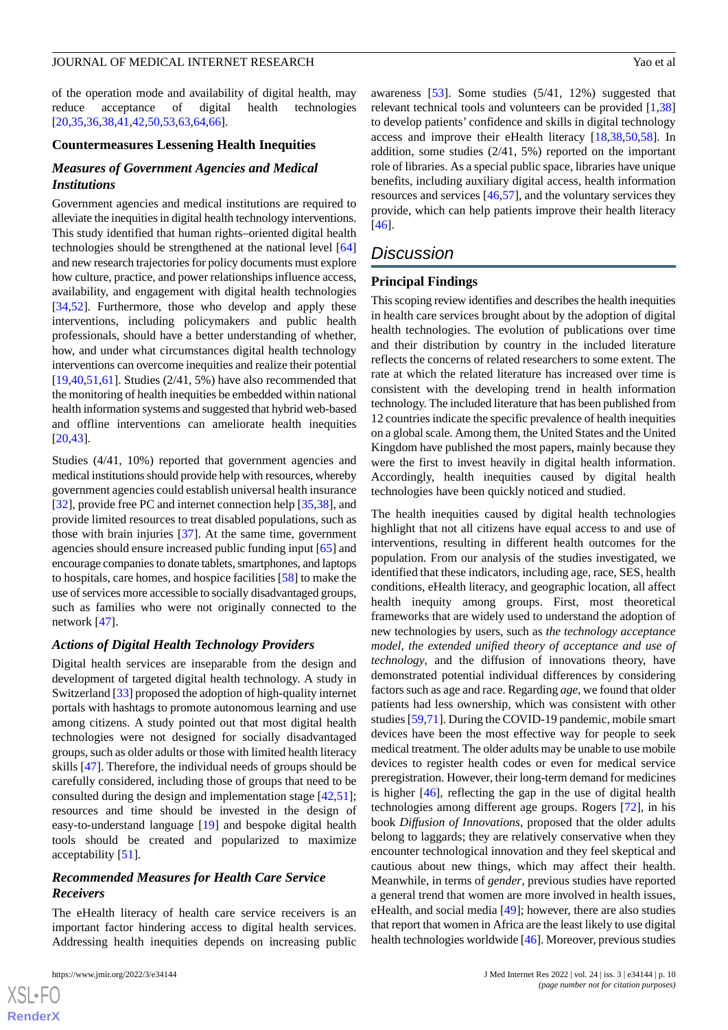of the operation mode and availability of digital health, may reduce acceptance of digital health technologies [[20](#page-12-16)[,35](#page-13-8),[36](#page-13-9)[,38](#page-13-11),[41](#page-13-14)[,42](#page-13-15),[50](#page-14-0)[,53](#page-14-3),[63](#page-14-13)[,64](#page-14-14),[66\]](#page-14-16).

#### **Countermeasures Lessening Health Inequities**

# *Measures of Government Agencies and Medical Institutions*

Government agencies and medical institutions are required to alleviate the inequities in digital health technology interventions. This study identified that human rights–oriented digital health technologies should be strengthened at the national level [\[64](#page-14-14)] and new research trajectories for policy documents must explore how culture, practice, and power relationships influence access, availability, and engagement with digital health technologies [[34](#page-13-7)[,52](#page-14-2)]. Furthermore, those who develop and apply these interventions, including policymakers and public health professionals, should have a better understanding of whether, how, and under what circumstances digital health technology interventions can overcome inequities and realize their potential [[19](#page-12-21)[,40](#page-13-13),[51](#page-14-1)[,61](#page-14-11)]. Studies (2/41, 5%) have also recommended that the monitoring of health inequities be embedded within national health information systems and suggested that hybrid web-based and offline interventions can ameliorate health inequities [[20](#page-12-16)[,43](#page-13-16)].

Studies (4/41, 10%) reported that government agencies and medical institutions should provide help with resources, whereby government agencies could establish universal health insurance [[32\]](#page-13-5), provide free PC and internet connection help [[35,](#page-13-8)[38](#page-13-11)], and provide limited resources to treat disabled populations, such as those with brain injuries [[37\]](#page-13-10). At the same time, government agencies should ensure increased public funding input [[65\]](#page-14-15) and encourage companies to donate tablets, smartphones, and laptops to hospitals, care homes, and hospice facilities [[58\]](#page-14-8) to make the use of services more accessible to socially disadvantaged groups, such as families who were not originally connected to the network [\[47](#page-13-20)].

#### *Actions of Digital Health Technology Providers*

Digital health services are inseparable from the design and development of targeted digital health technology. A study in Switzerland [[33\]](#page-13-6) proposed the adoption of high-quality internet portals with hashtags to promote autonomous learning and use among citizens. A study pointed out that most digital health technologies were not designed for socially disadvantaged groups, such as older adults or those with limited health literacy skills [\[47](#page-13-20)]. Therefore, the individual needs of groups should be carefully considered, including those of groups that need to be consulted during the design and implementation stage [\[42](#page-13-15),[51\]](#page-14-1); resources and time should be invested in the design of easy-to-understand language [[19\]](#page-12-21) and bespoke digital health tools should be created and popularized to maximize acceptability [\[51](#page-14-1)].

# *Recommended Measures for Health Care Service Receivers*

The eHealth literacy of health care service receivers is an important factor hindering access to digital health services. Addressing health inequities depends on increasing public

 $XS$ -FO **[RenderX](http://www.renderx.com/)**

awareness [\[53](#page-14-3)]. Some studies (5/41, 12%) suggested that relevant technical tools and volunteers can be provided [[1](#page-11-0)[,38](#page-13-11)] to develop patients' confidence and skills in digital technology access and improve their eHealth literacy [\[18](#page-12-15)[,38](#page-13-11),[50,](#page-14-0)[58](#page-14-8)]. In addition, some studies (2/41, 5%) reported on the important role of libraries. As a special public space, libraries have unique benefits, including auxiliary digital access, health information resources and services [\[46](#page-13-19),[57\]](#page-14-7), and the voluntary services they provide, which can help patients improve their health literacy [[46\]](#page-13-19).

# *Discussion*

#### **Principal Findings**

This scoping review identifies and describes the health inequities in health care services brought about by the adoption of digital health technologies. The evolution of publications over time and their distribution by country in the included literature reflects the concerns of related researchers to some extent. The rate at which the related literature has increased over time is consistent with the developing trend in health information technology. The included literature that has been published from 12 countries indicate the specific prevalence of health inequities on a global scale. Among them, the United States and the United Kingdom have published the most papers, mainly because they were the first to invest heavily in digital health information. Accordingly, health inequities caused by digital health technologies have been quickly noticed and studied.

The health inequities caused by digital health technologies highlight that not all citizens have equal access to and use of interventions, resulting in different health outcomes for the population. From our analysis of the studies investigated, we identified that these indicators, including age, race, SES, health conditions, eHealth literacy, and geographic location, all affect health inequity among groups. First, most theoretical frameworks that are widely used to understand the adoption of new technologies by users, such as *the technology acceptance model*, *the extended unified theory of acceptance and use of technology*, and the diffusion of innovations theory, have demonstrated potential individual differences by considering factors such as age and race. Regarding *age*, we found that older patients had less ownership, which was consistent with other studies [[59,](#page-14-9)[71](#page-14-21)]. During the COVID-19 pandemic, mobile smart devices have been the most effective way for people to seek medical treatment. The older adults may be unable to use mobile devices to register health codes or even for medical service preregistration. However, their long-term demand for medicines is higher [[46\]](#page-13-19), reflecting the gap in the use of digital health technologies among different age groups. Rogers [[72\]](#page-14-22), in his book *Diffusion of Innovations*, proposed that the older adults belong to laggards; they are relatively conservative when they encounter technological innovation and they feel skeptical and cautious about new things, which may affect their health. Meanwhile, in terms of *gender*, previous studies have reported a general trend that women are more involved in health issues, eHealth, and social media [\[49](#page-13-22)]; however, there are also studies that report that women in Africa are the least likely to use digital health technologies worldwide [\[46](#page-13-19)]. Moreover, previous studies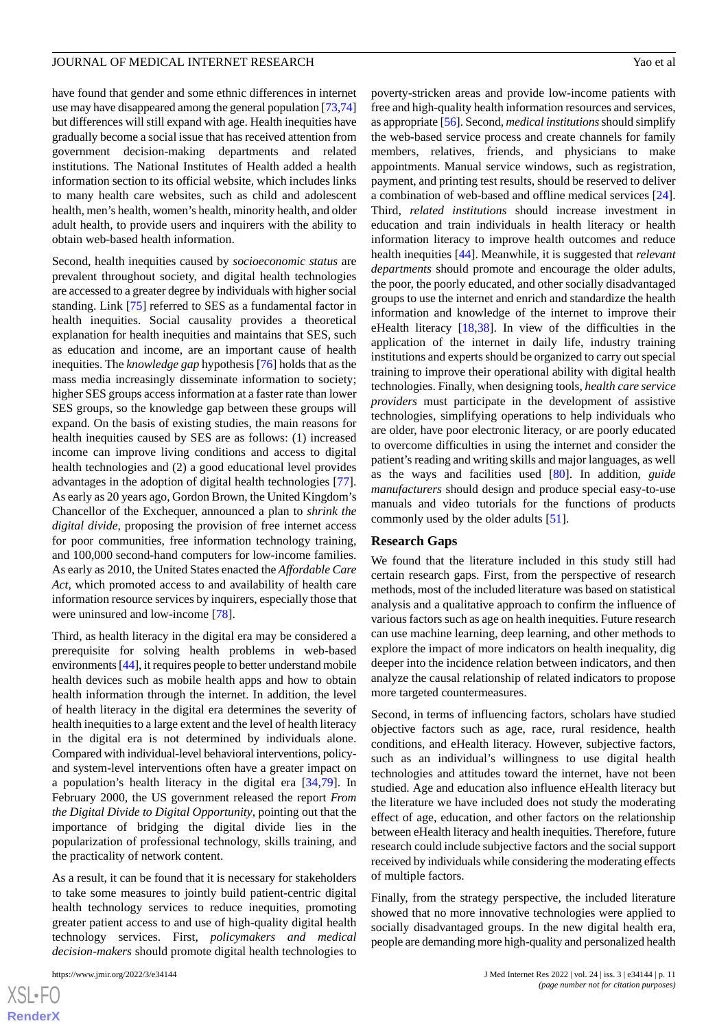obtain web-based health information.

have found that gender and some ethnic differences in internet use may have disappeared among the general population [\[73](#page-14-23)[,74](#page-14-24)] but differences will still expand with age. Health inequities have gradually become a social issue that has received attention from government decision-making departments and related institutions. The National Institutes of Health added a health information section to its official website, which includes links to many health care websites, such as child and adolescent health, men's health, women's health, minority health, and older adult health, to provide users and inquirers with the ability to

Second, health inequities caused by *socioeconomic status* are prevalent throughout society, and digital health technologies are accessed to a greater degree by individuals with higher social standing. Link [\[75](#page-15-0)] referred to SES as a fundamental factor in health inequities. Social causality provides a theoretical explanation for health inequities and maintains that SES, such as education and income, are an important cause of health inequities. The *knowledge gap* hypothesis [\[76](#page-15-1)] holds that as the mass media increasingly disseminate information to society; higher SES groups access information at a faster rate than lower SES groups, so the knowledge gap between these groups will expand. On the basis of existing studies, the main reasons for health inequities caused by SES are as follows: (1) increased income can improve living conditions and access to digital health technologies and (2) a good educational level provides advantages in the adoption of digital health technologies [[77\]](#page-15-2). As early as 20 years ago, Gordon Brown, the United Kingdom's Chancellor of the Exchequer, announced a plan to *shrink the digital divide*, proposing the provision of free internet access for poor communities, free information technology training, and 100,000 second-hand computers for low-income families. As early as 2010, the United States enacted the *Affordable Care Act*, which promoted access to and availability of health care information resource services by inquirers, especially those that were uninsured and low-income [[78\]](#page-15-3).

Third, as health literacy in the digital era may be considered a prerequisite for solving health problems in web-based environments [\[44](#page-13-17)], it requires people to better understand mobile health devices such as mobile health apps and how to obtain health information through the internet. In addition, the level of health literacy in the digital era determines the severity of health inequities to a large extent and the level of health literacy in the digital era is not determined by individuals alone. Compared with individual-level behavioral interventions, policyand system-level interventions often have a greater impact on a population's health literacy in the digital era [\[34](#page-13-7),[79\]](#page-15-4). In February 2000, the US government released the report *From the Digital Divide to Digital Opportunity*, pointing out that the importance of bridging the digital divide lies in the popularization of professional technology, skills training, and the practicality of network content.

As a result, it can be found that it is necessary for stakeholders to take some measures to jointly build patient-centric digital health technology services to reduce inequities, promoting greater patient access to and use of high-quality digital health technology services. First, *policymakers and medical decision-makers* should promote digital health technologies to

poverty-stricken areas and provide low-income patients with free and high-quality health information resources and services, as appropriate [\[56](#page-14-6)]. Second, *medical institutions*should simplify the web-based service process and create channels for family members, relatives, friends, and physicians to make appointments. Manual service windows, such as registration, payment, and printing test results, should be reserved to deliver a combination of web-based and offline medical services [[24\]](#page-12-20). Third, *related institutions* should increase investment in education and train individuals in health literacy or health information literacy to improve health outcomes and reduce health inequities [\[44](#page-13-17)]. Meanwhile, it is suggested that *relevant departments* should promote and encourage the older adults, the poor, the poorly educated, and other socially disadvantaged groups to use the internet and enrich and standardize the health information and knowledge of the internet to improve their eHealth literacy [\[18](#page-12-15)[,38](#page-13-11)]. In view of the difficulties in the application of the internet in daily life, industry training institutions and experts should be organized to carry out special training to improve their operational ability with digital health technologies. Finally, when designing tools, *health care service providers* must participate in the development of assistive technologies, simplifying operations to help individuals who are older, have poor electronic literacy, or are poorly educated to overcome difficulties in using the internet and consider the patient's reading and writing skills and major languages, as well as the ways and facilities used [\[80](#page-15-5)]. In addition, *guide manufacturers* should design and produce special easy-to-use manuals and video tutorials for the functions of products commonly used by the older adults [[51\]](#page-14-1).

#### **Research Gaps**

We found that the literature included in this study still had certain research gaps. First, from the perspective of research methods, most of the included literature was based on statistical analysis and a qualitative approach to confirm the influence of various factors such as age on health inequities. Future research can use machine learning, deep learning, and other methods to explore the impact of more indicators on health inequality, dig deeper into the incidence relation between indicators, and then analyze the causal relationship of related indicators to propose more targeted countermeasures.

Second, in terms of influencing factors, scholars have studied objective factors such as age, race, rural residence, health conditions, and eHealth literacy. However, subjective factors, such as an individual's willingness to use digital health technologies and attitudes toward the internet, have not been studied. Age and education also influence eHealth literacy but the literature we have included does not study the moderating effect of age, education, and other factors on the relationship between eHealth literacy and health inequities. Therefore, future research could include subjective factors and the social support received by individuals while considering the moderating effects of multiple factors.

Finally, from the strategy perspective, the included literature showed that no more innovative technologies were applied to socially disadvantaged groups. In the new digital health era, people are demanding more high-quality and personalized health

```
XSL•FO
RenderX
```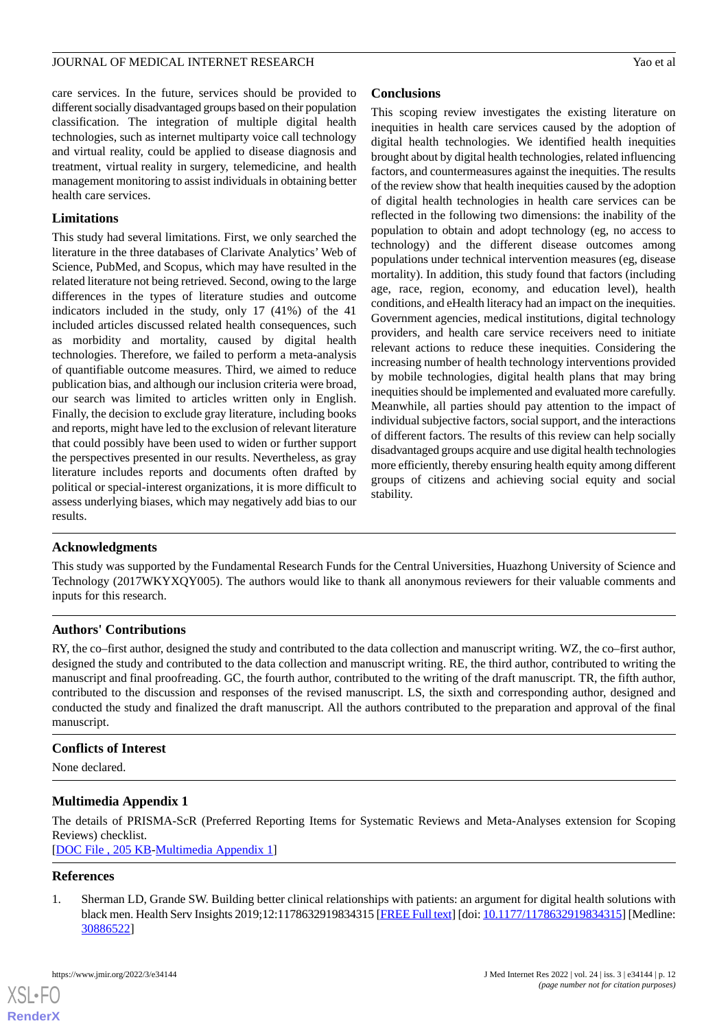care services. In the future, services should be provided to different socially disadvantaged groups based on their population classification. The integration of multiple digital health technologies, such as internet multiparty voice call technology and virtual reality, could be applied to disease diagnosis and treatment, virtual reality in surgery, telemedicine, and health management monitoring to assist individuals in obtaining better health care services.

# **Limitations**

This study had several limitations. First, we only searched the literature in the three databases of Clarivate Analytics' Web of Science, PubMed, and Scopus, which may have resulted in the related literature not being retrieved. Second, owing to the large differences in the types of literature studies and outcome indicators included in the study, only 17 (41%) of the 41 included articles discussed related health consequences, such as morbidity and mortality, caused by digital health technologies. Therefore, we failed to perform a meta-analysis of quantifiable outcome measures. Third, we aimed to reduce publication bias, and although our inclusion criteria were broad, our search was limited to articles written only in English. Finally, the decision to exclude gray literature, including books and reports, might have led to the exclusion of relevant literature that could possibly have been used to widen or further support the perspectives presented in our results. Nevertheless, as gray literature includes reports and documents often drafted by political or special-interest organizations, it is more difficult to assess underlying biases, which may negatively add bias to our results.

# **Conclusions**

This scoping review investigates the existing literature on inequities in health care services caused by the adoption of digital health technologies. We identified health inequities brought about by digital health technologies, related influencing factors, and countermeasures against the inequities. The results of the review show that health inequities caused by the adoption of digital health technologies in health care services can be reflected in the following two dimensions: the inability of the population to obtain and adopt technology (eg, no access to technology) and the different disease outcomes among populations under technical intervention measures (eg, disease mortality). In addition, this study found that factors (including age, race, region, economy, and education level), health conditions, and eHealth literacy had an impact on the inequities. Government agencies, medical institutions, digital technology providers, and health care service receivers need to initiate relevant actions to reduce these inequities. Considering the increasing number of health technology interventions provided by mobile technologies, digital health plans that may bring inequities should be implemented and evaluated more carefully. Meanwhile, all parties should pay attention to the impact of individual subjective factors, social support, and the interactions of different factors. The results of this review can help socially disadvantaged groups acquire and use digital health technologies more efficiently, thereby ensuring health equity among different groups of citizens and achieving social equity and social stability.

# **Acknowledgments**

This study was supported by the Fundamental Research Funds for the Central Universities, Huazhong University of Science and Technology (2017WKYXQY005). The authors would like to thank all anonymous reviewers for their valuable comments and inputs for this research.

# **Authors' Contributions**

RY, the co–first author, designed the study and contributed to the data collection and manuscript writing. WZ, the co–first author, designed the study and contributed to the data collection and manuscript writing. RE, the third author, contributed to writing the manuscript and final proofreading. GC, the fourth author, contributed to the writing of the draft manuscript. TR, the fifth author, contributed to the discussion and responses of the revised manuscript. LS, the sixth and corresponding author, designed and conducted the study and finalized the draft manuscript. All the authors contributed to the preparation and approval of the final manuscript.

# <span id="page-11-1"></span>**Conflicts of Interest**

None declared.

# <span id="page-11-0"></span>**Multimedia Appendix 1**

The details of PRISMA-ScR (Preferred Reporting Items for Systematic Reviews and Meta-Analyses extension for Scoping Reviews) checklist.

[[DOC File , 205 KB-Multimedia Appendix 1](https://jmir.org/api/download?alt_name=jmir_v24i3e34144_app1.doc&filename=da98df5610b842e64a4eea7224a17482.doc)]

## **References**

[XSL](http://www.w3.org/Style/XSL)•FO **[RenderX](http://www.renderx.com/)**

1. Sherman LD, Grande SW. Building better clinical relationships with patients: an argument for digital health solutions with black men. Health Serv Insights 2019;12:1178632919834315 [\[FREE Full text\]](https://journals.sagepub.com/doi/10.1177/1178632919834315?url_ver=Z39.88-2003&rfr_id=ori:rid:crossref.org&rfr_dat=cr_pub%3dpubmed) [doi: [10.1177/1178632919834315\]](http://dx.doi.org/10.1177/1178632919834315) [Medline: [30886522](http://www.ncbi.nlm.nih.gov/entrez/query.fcgi?cmd=Retrieve&db=PubMed&list_uids=30886522&dopt=Abstract)]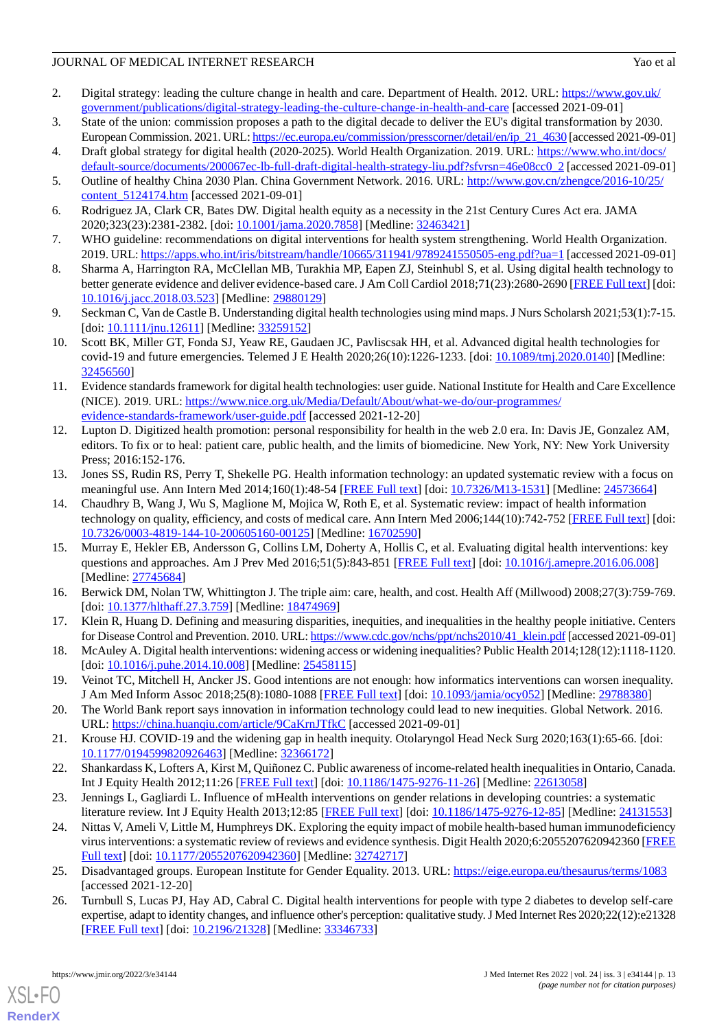- <span id="page-12-0"></span>2. Digital strategy: leading the culture change in health and care. Department of Health. 2012. URL: [https://www.gov.uk/](https://www.gov.uk/government/publications/digital-strategy-leading-the-culture-change-in-health-and-care) [government/publications/digital-strategy-leading-the-culture-change-in-health-and-care](https://www.gov.uk/government/publications/digital-strategy-leading-the-culture-change-in-health-and-care) [accessed 2021-09-01]
- <span id="page-12-2"></span><span id="page-12-1"></span>3. State of the union: commission proposes a path to the digital decade to deliver the EU's digital transformation by 2030. European Commission. 2021. URL: [https://ec.europa.eu/commission/presscorner/detail/en/ip\\_21\\_4630](https://ec.europa.eu/commission/presscorner/detail/en/ip_21_4630) [accessed 2021-09-01]
- <span id="page-12-3"></span>4. Draft global strategy for digital health (2020-2025). World Health Organization. 2019. URL: [https://www.who.int/docs/](https://www.who.int/docs/default-source/documents/200067ec-lb-full-draft-digital-health-strategy-liu.pdf?sfvrsn=46e08cc0_2) [default-source/documents/200067ec-lb-full-draft-digital-health-strategy-liu.pdf?sfvrsn=46e08cc0\\_2](https://www.who.int/docs/default-source/documents/200067ec-lb-full-draft-digital-health-strategy-liu.pdf?sfvrsn=46e08cc0_2) [accessed 2021-09-01]
- <span id="page-12-4"></span>5. Outline of healthy China 2030 Plan. China Government Network. 2016. URL: [http://www.gov.cn/zhengce/2016-10/25/](http://www.gov.cn/zhengce/2016-10/25/content_5124174.htm) [content\\_5124174.htm](http://www.gov.cn/zhengce/2016-10/25/content_5124174.htm) [accessed 2021-09-01]
- <span id="page-12-5"></span>6. Rodriguez JA, Clark CR, Bates DW. Digital health equity as a necessity in the 21st Century Cures Act era. JAMA 2020;323(23):2381-2382. [doi: [10.1001/jama.2020.7858](http://dx.doi.org/10.1001/jama.2020.7858)] [Medline: [32463421\]](http://www.ncbi.nlm.nih.gov/entrez/query.fcgi?cmd=Retrieve&db=PubMed&list_uids=32463421&dopt=Abstract)
- <span id="page-12-6"></span>7. WHO guideline: recommendations on digital interventions for health system strengthening. World Health Organization. 2019. URL:<https://apps.who.int/iris/bitstream/handle/10665/311941/9789241550505-eng.pdf?ua=1> [accessed 2021-09-01]
- <span id="page-12-7"></span>8. Sharma A, Harrington RA, McClellan MB, Turakhia MP, Eapen ZJ, Steinhubl S, et al. Using digital health technology to better generate evidence and deliver evidence-based care. J Am Coll Cardiol 2018;71(23):2680-2690 [\[FREE Full text\]](https://linkinghub.elsevier.com/retrieve/pii/S0735-1097(18)34413-9) [doi: [10.1016/j.jacc.2018.03.523\]](http://dx.doi.org/10.1016/j.jacc.2018.03.523) [Medline: [29880129\]](http://www.ncbi.nlm.nih.gov/entrez/query.fcgi?cmd=Retrieve&db=PubMed&list_uids=29880129&dopt=Abstract)
- 9. Seckman C, Van de Castle B. Understanding digital health technologies using mind maps. J Nurs Scholarsh 2021;53(1):7-15. [doi: [10.1111/jnu.12611\]](http://dx.doi.org/10.1111/jnu.12611) [Medline: [33259152](http://www.ncbi.nlm.nih.gov/entrez/query.fcgi?cmd=Retrieve&db=PubMed&list_uids=33259152&dopt=Abstract)]
- <span id="page-12-8"></span>10. Scott BK, Miller GT, Fonda SJ, Yeaw RE, Gaudaen JC, Pavliscsak HH, et al. Advanced digital health technologies for covid-19 and future emergencies. Telemed J E Health 2020;26(10):1226-1233. [doi: [10.1089/tmj.2020.0140](http://dx.doi.org/10.1089/tmj.2020.0140)] [Medline: [32456560](http://www.ncbi.nlm.nih.gov/entrez/query.fcgi?cmd=Retrieve&db=PubMed&list_uids=32456560&dopt=Abstract)]
- <span id="page-12-9"></span>11. Evidence standards framework for digital health technologies: user guide. National Institute for Health and Care Excellence (NICE). 2019. URL: [https://www.nice.org.uk/Media/Default/About/what-we-do/our-programmes/](https://www.nice.org.uk/Media/Default/About/what-we-do/our-programmes/evidence-standards-framework/user-guide.pdf) [evidence-standards-framework/user-guide.pdf](https://www.nice.org.uk/Media/Default/About/what-we-do/our-programmes/evidence-standards-framework/user-guide.pdf) [accessed 2021-12-20]
- <span id="page-12-10"></span>12. Lupton D. Digitized health promotion: personal responsibility for health in the web 2.0 era. In: Davis JE, Gonzalez AM, editors. To fix or to heal: patient care, public health, and the limits of biomedicine. New York, NY: New York University Press; 2016:152-176.
- <span id="page-12-11"></span>13. Jones SS, Rudin RS, Perry T, Shekelle PG. Health information technology: an updated systematic review with a focus on meaningful use. Ann Intern Med 2014;160(1):48-54 [\[FREE Full text\]](https://www.acpjournals.org/doi/abs/10.7326/M13-1531?url_ver=Z39.88-2003&rfr_id=ori:rid:crossref.org&rfr_dat=cr_pub%3dpubmed) [doi: [10.7326/M13-1531](http://dx.doi.org/10.7326/M13-1531)] [Medline: [24573664](http://www.ncbi.nlm.nih.gov/entrez/query.fcgi?cmd=Retrieve&db=PubMed&list_uids=24573664&dopt=Abstract)]
- <span id="page-12-12"></span>14. Chaudhry B, Wang J, Wu S, Maglione M, Mojica W, Roth E, et al. Systematic review: impact of health information technology on quality, efficiency, and costs of medical care. Ann Intern Med 2006;144(10):742-752 [\[FREE Full text](https://www.acpjournals.org/doi/abs/10.7326/0003-4819-144-10-200605160-00125?url_ver=Z39.88-2003&rfr_id=ori:rid:crossref.org&rfr_dat=cr_pub%3dpubmed)] [doi: [10.7326/0003-4819-144-10-200605160-00125](http://dx.doi.org/10.7326/0003-4819-144-10-200605160-00125)] [Medline: [16702590](http://www.ncbi.nlm.nih.gov/entrez/query.fcgi?cmd=Retrieve&db=PubMed&list_uids=16702590&dopt=Abstract)]
- <span id="page-12-14"></span><span id="page-12-13"></span>15. Murray E, Hekler EB, Andersson G, Collins LM, Doherty A, Hollis C, et al. Evaluating digital health interventions: key questions and approaches. Am J Prev Med 2016;51(5):843-851 [\[FREE Full text\]](http://europepmc.org/abstract/MED/27745684) [doi: [10.1016/j.amepre.2016.06.008\]](http://dx.doi.org/10.1016/j.amepre.2016.06.008) [Medline: [27745684](http://www.ncbi.nlm.nih.gov/entrez/query.fcgi?cmd=Retrieve&db=PubMed&list_uids=27745684&dopt=Abstract)]
- <span id="page-12-15"></span>16. Berwick DM, Nolan TW, Whittington J. The triple aim: care, health, and cost. Health Aff (Millwood) 2008;27(3):759-769. [doi: [10.1377/hlthaff.27.3.759](http://dx.doi.org/10.1377/hlthaff.27.3.759)] [Medline: [18474969\]](http://www.ncbi.nlm.nih.gov/entrez/query.fcgi?cmd=Retrieve&db=PubMed&list_uids=18474969&dopt=Abstract)
- <span id="page-12-21"></span>17. Klein R, Huang D. Defining and measuring disparities, inequities, and inequalities in the healthy people initiative. Centers for Disease Control and Prevention. 2010. URL: [https://www.cdc.gov/nchs/ppt/nchs2010/41\\_klein.pdf](https://www.cdc.gov/nchs/ppt/nchs2010/41_klein.pdf) [accessed 2021-09-01]
- <span id="page-12-17"></span><span id="page-12-16"></span>18. McAuley A. Digital health interventions: widening access or widening inequalities? Public Health 2014;128(12):1118-1120. [doi: [10.1016/j.puhe.2014.10.008](http://dx.doi.org/10.1016/j.puhe.2014.10.008)] [Medline: [25458115](http://www.ncbi.nlm.nih.gov/entrez/query.fcgi?cmd=Retrieve&db=PubMed&list_uids=25458115&dopt=Abstract)]
- <span id="page-12-18"></span>19. Veinot TC, Mitchell H, Ancker JS. Good intentions are not enough: how informatics interventions can worsen inequality. J Am Med Inform Assoc 2018;25(8):1080-1088 [[FREE Full text](http://europepmc.org/abstract/MED/29788380)] [doi: [10.1093/jamia/ocy052](http://dx.doi.org/10.1093/jamia/ocy052)] [Medline: [29788380\]](http://www.ncbi.nlm.nih.gov/entrez/query.fcgi?cmd=Retrieve&db=PubMed&list_uids=29788380&dopt=Abstract)
- <span id="page-12-19"></span>20. The World Bank report says innovation in information technology could lead to new inequities. Global Network. 2016. URL: <https://china.huanqiu.com/article/9CaKrnJTfkC> [accessed 2021-09-01]
- <span id="page-12-20"></span>21. Krouse HJ. COVID-19 and the widening gap in health inequity. Otolaryngol Head Neck Surg 2020;163(1):65-66. [doi: [10.1177/0194599820926463\]](http://dx.doi.org/10.1177/0194599820926463) [Medline: [32366172\]](http://www.ncbi.nlm.nih.gov/entrez/query.fcgi?cmd=Retrieve&db=PubMed&list_uids=32366172&dopt=Abstract)
- 22. Shankardass K, Lofters A, Kirst M, Quiñonez C. Public awareness of income-related health inequalities in Ontario, Canada. Int J Equity Health 2012;11:26 [\[FREE Full text\]](https://equityhealthj.biomedcentral.com/articles/10.1186/1475-9276-11-26) [doi: [10.1186/1475-9276-11-26](http://dx.doi.org/10.1186/1475-9276-11-26)] [Medline: [22613058\]](http://www.ncbi.nlm.nih.gov/entrez/query.fcgi?cmd=Retrieve&db=PubMed&list_uids=22613058&dopt=Abstract)
- <span id="page-12-23"></span><span id="page-12-22"></span>23. Jennings L, Gagliardi L. Influence of mHealth interventions on gender relations in developing countries: a systematic literature review. Int J Equity Health 2013;12:85 [[FREE Full text](https://equityhealthj.biomedcentral.com/articles/10.1186/1475-9276-12-85)] [doi: [10.1186/1475-9276-12-85\]](http://dx.doi.org/10.1186/1475-9276-12-85) [Medline: [24131553\]](http://www.ncbi.nlm.nih.gov/entrez/query.fcgi?cmd=Retrieve&db=PubMed&list_uids=24131553&dopt=Abstract)
- 24. Nittas V, Ameli V, Little M, Humphreys DK. Exploring the equity impact of mobile health-based human immunodeficiency virus interventions: a systematic review of reviews and evidence synthesis. Digit Health 2020;6:2055207620942360 [\[FREE](https://journals.sagepub.com/doi/10.1177/2055207620942360?url_ver=Z39.88-2003&rfr_id=ori:rid:crossref.org&rfr_dat=cr_pub%3dpubmed) [Full text\]](https://journals.sagepub.com/doi/10.1177/2055207620942360?url_ver=Z39.88-2003&rfr_id=ori:rid:crossref.org&rfr_dat=cr_pub%3dpubmed) [doi: [10.1177/2055207620942360](http://dx.doi.org/10.1177/2055207620942360)] [Medline: [32742717](http://www.ncbi.nlm.nih.gov/entrez/query.fcgi?cmd=Retrieve&db=PubMed&list_uids=32742717&dopt=Abstract)]
- 25. Disadvantaged groups. European Institute for Gender Equality. 2013. URL:<https://eige.europa.eu/thesaurus/terms/1083> [accessed 2021-12-20]
- 26. Turnbull S, Lucas PJ, Hay AD, Cabral C. Digital health interventions for people with type 2 diabetes to develop self-care expertise, adapt to identity changes, and influence other's perception: qualitative study. J Med Internet Res 2020;22(12):e21328 [[FREE Full text](https://www.jmir.org/2020/12/e21328/)] [doi: [10.2196/21328\]](http://dx.doi.org/10.2196/21328) [Medline: [33346733\]](http://www.ncbi.nlm.nih.gov/entrez/query.fcgi?cmd=Retrieve&db=PubMed&list_uids=33346733&dopt=Abstract)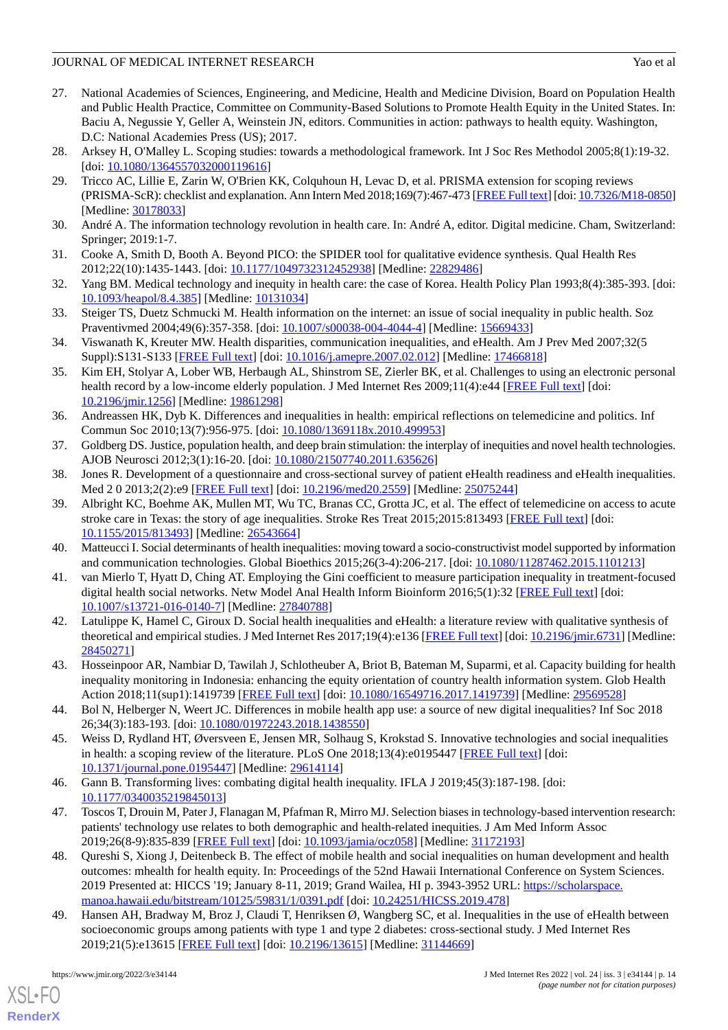- <span id="page-13-0"></span>27. National Academies of Sciences, Engineering, and Medicine, Health and Medicine Division, Board on Population Health and Public Health Practice, Committee on Community-Based Solutions to Promote Health Equity in the United States. In: Baciu A, Negussie Y, Geller A, Weinstein JN, editors. Communities in action: pathways to health equity. Washington, D.C: National Academies Press (US); 2017.
- <span id="page-13-2"></span><span id="page-13-1"></span>28. Arksey H, O'Malley L. Scoping studies: towards a methodological framework. Int J Soc Res Methodol 2005;8(1):19-32. [doi: [10.1080/1364557032000119616](http://dx.doi.org/10.1080/1364557032000119616)]
- 29. Tricco AC, Lillie E, Zarin W, O'Brien KK, Colquhoun H, Levac D, et al. PRISMA extension for scoping reviews (PRISMA-ScR): checklist and explanation. Ann Intern Med 2018;169(7):467-473 [[FREE Full text\]](https://www.acpjournals.org/doi/abs/10.7326/M18-0850?url_ver=Z39.88-2003&rfr_id=ori:rid:crossref.org&rfr_dat=cr_pub%3dpubmed) [doi: [10.7326/M18-0850\]](http://dx.doi.org/10.7326/M18-0850) [Medline: [30178033](http://www.ncbi.nlm.nih.gov/entrez/query.fcgi?cmd=Retrieve&db=PubMed&list_uids=30178033&dopt=Abstract)]
- <span id="page-13-4"></span><span id="page-13-3"></span>30. André A. The information technology revolution in health care. In: André A, editor. Digital medicine. Cham, Switzerland: Springer; 2019:1-7.
- <span id="page-13-5"></span>31. Cooke A, Smith D, Booth A. Beyond PICO: the SPIDER tool for qualitative evidence synthesis. Qual Health Res 2012;22(10):1435-1443. [doi: [10.1177/1049732312452938\]](http://dx.doi.org/10.1177/1049732312452938) [Medline: [22829486\]](http://www.ncbi.nlm.nih.gov/entrez/query.fcgi?cmd=Retrieve&db=PubMed&list_uids=22829486&dopt=Abstract)
- <span id="page-13-6"></span>32. Yang BM. Medical technology and inequity in health care: the case of Korea. Health Policy Plan 1993;8(4):385-393. [doi: [10.1093/heapol/8.4.385](http://dx.doi.org/10.1093/heapol/8.4.385)] [Medline: [10131034](http://www.ncbi.nlm.nih.gov/entrez/query.fcgi?cmd=Retrieve&db=PubMed&list_uids=10131034&dopt=Abstract)]
- <span id="page-13-7"></span>33. Steiger TS, Duetz Schmucki M. Health information on the internet: an issue of social inequality in public health. Soz Praventivmed 2004;49(6):357-358. [doi: [10.1007/s00038-004-4044-4](http://dx.doi.org/10.1007/s00038-004-4044-4)] [Medline: [15669433\]](http://www.ncbi.nlm.nih.gov/entrez/query.fcgi?cmd=Retrieve&db=PubMed&list_uids=15669433&dopt=Abstract)
- <span id="page-13-8"></span>34. Viswanath K, Kreuter MW. Health disparities, communication inequalities, and eHealth. Am J Prev Med 2007;32(5 Suppl):S131-S133 [\[FREE Full text\]](http://europepmc.org/abstract/MED/17466818) [doi: [10.1016/j.amepre.2007.02.012](http://dx.doi.org/10.1016/j.amepre.2007.02.012)] [Medline: [17466818](http://www.ncbi.nlm.nih.gov/entrez/query.fcgi?cmd=Retrieve&db=PubMed&list_uids=17466818&dopt=Abstract)]
- <span id="page-13-9"></span>35. Kim EH, Stolyar A, Lober WB, Herbaugh AL, Shinstrom SE, Zierler BK, et al. Challenges to using an electronic personal health record by a low-income elderly population. J Med Internet Res 2009;11(4):e44 [[FREE Full text](https://www.jmir.org/2009/4/e44/)] [doi: [10.2196/jmir.1256](http://dx.doi.org/10.2196/jmir.1256)] [Medline: [19861298](http://www.ncbi.nlm.nih.gov/entrez/query.fcgi?cmd=Retrieve&db=PubMed&list_uids=19861298&dopt=Abstract)]
- <span id="page-13-11"></span><span id="page-13-10"></span>36. Andreassen HK, Dyb K. Differences and inequalities in health: empirical reflections on telemedicine and politics. Inf Commun Soc 2010;13(7):956-975. [doi: [10.1080/1369118x.2010.499953\]](http://dx.doi.org/10.1080/1369118x.2010.499953)
- <span id="page-13-12"></span>37. Goldberg DS. Justice, population health, and deep brain stimulation: the interplay of inequities and novel health technologies. AJOB Neurosci 2012;3(1):16-20. [doi: [10.1080/21507740.2011.635626\]](http://dx.doi.org/10.1080/21507740.2011.635626)
- 38. Jones R. Development of a questionnaire and cross-sectional survey of patient eHealth readiness and eHealth inequalities. Med 2 0 2013;2(2):e9 [[FREE Full text](https://www.medicine20.com/2013/2/e9/)] [doi: [10.2196/med20.2559](http://dx.doi.org/10.2196/med20.2559)] [Medline: [25075244](http://www.ncbi.nlm.nih.gov/entrez/query.fcgi?cmd=Retrieve&db=PubMed&list_uids=25075244&dopt=Abstract)]
- <span id="page-13-14"></span><span id="page-13-13"></span>39. Albright KC, Boehme AK, Mullen MT, Wu TC, Branas CC, Grotta JC, et al. The effect of telemedicine on access to acute stroke care in Texas: the story of age inequalities. Stroke Res Treat 2015;2015:813493 [\[FREE Full text\]](https://doi.org/10.1155/2015/813493) [doi: [10.1155/2015/813493\]](http://dx.doi.org/10.1155/2015/813493) [Medline: [26543664](http://www.ncbi.nlm.nih.gov/entrez/query.fcgi?cmd=Retrieve&db=PubMed&list_uids=26543664&dopt=Abstract)]
- <span id="page-13-15"></span>40. Matteucci I. Social determinants of health inequalities: moving toward a socio-constructivist model supported by information and communication technologies. Global Bioethics 2015;26(3-4):206-217. [doi: [10.1080/11287462.2015.1101213](http://dx.doi.org/10.1080/11287462.2015.1101213)]
- <span id="page-13-16"></span>41. van Mierlo T, Hyatt D, Ching AT. Employing the Gini coefficient to measure participation inequality in treatment-focused digital health social networks. Netw Model Anal Health Inform Bioinform 2016;5(1):32 [\[FREE Full text\]](http://europepmc.org/abstract/MED/27840788) [doi: [10.1007/s13721-016-0140-7\]](http://dx.doi.org/10.1007/s13721-016-0140-7) [Medline: [27840788](http://www.ncbi.nlm.nih.gov/entrez/query.fcgi?cmd=Retrieve&db=PubMed&list_uids=27840788&dopt=Abstract)]
- <span id="page-13-17"></span>42. Latulippe K, Hamel C, Giroux D. Social health inequalities and eHealth: a literature review with qualitative synthesis of theoretical and empirical studies. J Med Internet Res 2017;19(4):e136 [\[FREE Full text\]](https://www.jmir.org/2017/4/e136/) [doi: [10.2196/jmir.6731\]](http://dx.doi.org/10.2196/jmir.6731) [Medline: [28450271](http://www.ncbi.nlm.nih.gov/entrez/query.fcgi?cmd=Retrieve&db=PubMed&list_uids=28450271&dopt=Abstract)]
- <span id="page-13-18"></span>43. Hosseinpoor AR, Nambiar D, Tawilah J, Schlotheuber A, Briot B, Bateman M, Suparmi, et al. Capacity building for health inequality monitoring in Indonesia: enhancing the equity orientation of country health information system. Glob Health Action 2018;11(sup1):1419739 [\[FREE Full text\]](http://europepmc.org/abstract/MED/29569528) [doi: [10.1080/16549716.2017.1419739](http://dx.doi.org/10.1080/16549716.2017.1419739)] [Medline: [29569528\]](http://www.ncbi.nlm.nih.gov/entrez/query.fcgi?cmd=Retrieve&db=PubMed&list_uids=29569528&dopt=Abstract)
- <span id="page-13-19"></span>44. Bol N, Helberger N, Weert JC. Differences in mobile health app use: a source of new digital inequalities? Inf Soc 2018 26;34(3):183-193. [doi: [10.1080/01972243.2018.1438550\]](http://dx.doi.org/10.1080/01972243.2018.1438550)
- <span id="page-13-20"></span>45. Weiss D, Rydland HT, Øversveen E, Jensen MR, Solhaug S, Krokstad S. Innovative technologies and social inequalities in health: a scoping review of the literature. PLoS One 2018;13(4):e0195447 [\[FREE Full text\]](https://dx.plos.org/10.1371/journal.pone.0195447) [doi: [10.1371/journal.pone.0195447\]](http://dx.doi.org/10.1371/journal.pone.0195447) [Medline: [29614114](http://www.ncbi.nlm.nih.gov/entrez/query.fcgi?cmd=Retrieve&db=PubMed&list_uids=29614114&dopt=Abstract)]
- <span id="page-13-21"></span>46. Gann B. Transforming lives: combating digital health inequality. IFLA J 2019;45(3):187-198. [doi: [10.1177/0340035219845013\]](http://dx.doi.org/10.1177/0340035219845013)
- <span id="page-13-22"></span>47. Toscos T, Drouin M, Pater J, Flanagan M, Pfafman R, Mirro MJ. Selection biases in technology-based intervention research: patients' technology use relates to both demographic and health-related inequities. J Am Med Inform Assoc 2019;26(8-9):835-839 [\[FREE Full text\]](http://europepmc.org/abstract/MED/31172193) [doi: [10.1093/jamia/ocz058](http://dx.doi.org/10.1093/jamia/ocz058)] [Medline: [31172193\]](http://www.ncbi.nlm.nih.gov/entrez/query.fcgi?cmd=Retrieve&db=PubMed&list_uids=31172193&dopt=Abstract)
- 48. Qureshi S, Xiong J, Deitenbeck B. The effect of mobile health and social inequalities on human development and health outcomes: mhealth for health equity. In: Proceedings of the 52nd Hawaii International Conference on System Sciences. 2019 Presented at: HICCS '19; January 8-11, 2019; Grand Wailea, HI p. 3943-3952 URL: [https://scholarspace.](https://scholarspace.manoa.hawaii.edu/bitstream/10125/59831/1/0391.pdf) [manoa.hawaii.edu/bitstream/10125/59831/1/0391.pdf](https://scholarspace.manoa.hawaii.edu/bitstream/10125/59831/1/0391.pdf) [doi: [10.24251/HICSS.2019.478\]](http://dx.doi.org/10.24251/HICSS.2019.478)
- 49. Hansen AH, Bradway M, Broz J, Claudi T, Henriksen Ø, Wangberg SC, et al. Inequalities in the use of eHealth between socioeconomic groups among patients with type 1 and type 2 diabetes: cross-sectional study. J Med Internet Res 2019;21(5):e13615 [\[FREE Full text](https://www.jmir.org/2019/5/e13615/)] [doi: [10.2196/13615\]](http://dx.doi.org/10.2196/13615) [Medline: [31144669\]](http://www.ncbi.nlm.nih.gov/entrez/query.fcgi?cmd=Retrieve&db=PubMed&list_uids=31144669&dopt=Abstract)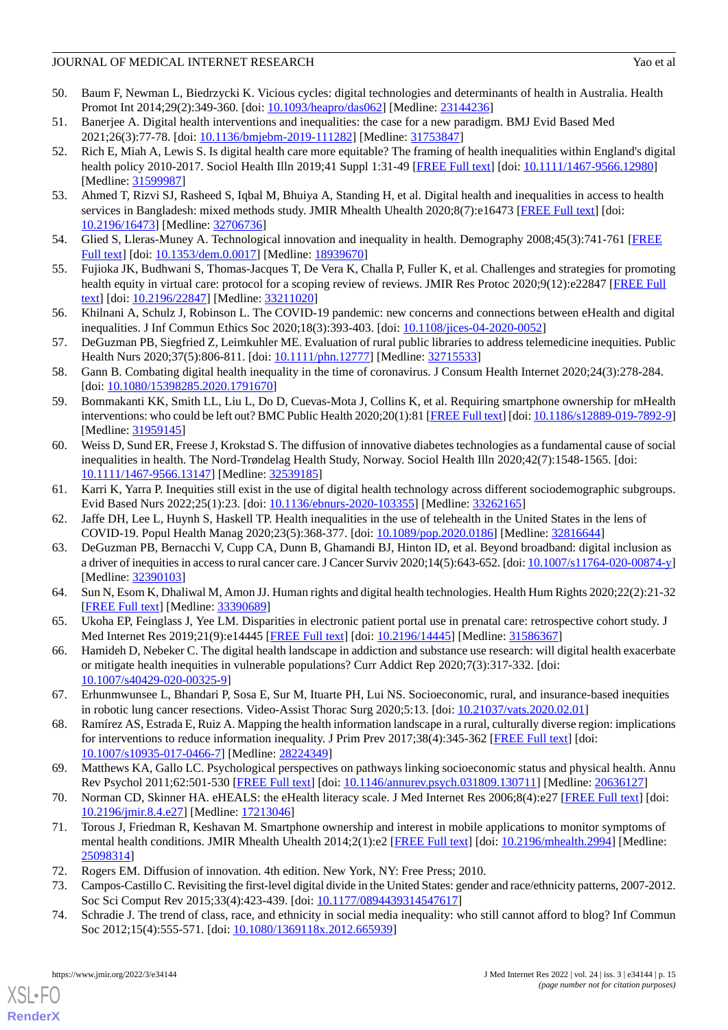- <span id="page-14-0"></span>50. Baum F, Newman L, Biedrzycki K. Vicious cycles: digital technologies and determinants of health in Australia. Health Promot Int 2014;29(2):349-360. [doi: [10.1093/heapro/das062\]](http://dx.doi.org/10.1093/heapro/das062) [Medline: [23144236](http://www.ncbi.nlm.nih.gov/entrez/query.fcgi?cmd=Retrieve&db=PubMed&list_uids=23144236&dopt=Abstract)]
- <span id="page-14-2"></span><span id="page-14-1"></span>51. Banerjee A. Digital health interventions and inequalities: the case for a new paradigm. BMJ Evid Based Med 2021;26(3):77-78. [doi: [10.1136/bmjebm-2019-111282](http://dx.doi.org/10.1136/bmjebm-2019-111282)] [Medline: [31753847\]](http://www.ncbi.nlm.nih.gov/entrez/query.fcgi?cmd=Retrieve&db=PubMed&list_uids=31753847&dopt=Abstract)
- 52. Rich E, Miah A, Lewis S. Is digital health care more equitable? The framing of health inequalities within England's digital health policy 2010-2017. Sociol Health Illn 2019;41 Suppl 1:31-49 [[FREE Full text](http://europepmc.org/abstract/MED/31599987)] [doi: [10.1111/1467-9566.12980\]](http://dx.doi.org/10.1111/1467-9566.12980) [Medline: [31599987](http://www.ncbi.nlm.nih.gov/entrez/query.fcgi?cmd=Retrieve&db=PubMed&list_uids=31599987&dopt=Abstract)]
- <span id="page-14-4"></span><span id="page-14-3"></span>53. Ahmed T, Rizvi SJ, Rasheed S, Iqbal M, Bhuiya A, Standing H, et al. Digital health and inequalities in access to health services in Bangladesh: mixed methods study. JMIR Mhealth Uhealth 2020;8(7):e16473 [[FREE Full text](https://mhealth.jmir.org/2020/7/e16473/)] [doi: [10.2196/16473\]](http://dx.doi.org/10.2196/16473) [Medline: [32706736\]](http://www.ncbi.nlm.nih.gov/entrez/query.fcgi?cmd=Retrieve&db=PubMed&list_uids=32706736&dopt=Abstract)
- <span id="page-14-5"></span>54. Glied S, Lleras-Muney A. Technological innovation and inequality in health. Demography 2008;45(3):741-761 [\[FREE](http://europepmc.org/abstract/MED/18939670) [Full text\]](http://europepmc.org/abstract/MED/18939670) [doi: [10.1353/dem.0.0017\]](http://dx.doi.org/10.1353/dem.0.0017) [Medline: [18939670\]](http://www.ncbi.nlm.nih.gov/entrez/query.fcgi?cmd=Retrieve&db=PubMed&list_uids=18939670&dopt=Abstract)
- <span id="page-14-6"></span>55. Fujioka JK, Budhwani S, Thomas-Jacques T, De Vera K, Challa P, Fuller K, et al. Challenges and strategies for promoting health equity in virtual care: protocol for a scoping review of reviews. JMIR Res Protoc 2020;9(12):e22847 [[FREE Full](https://www.researchprotocols.org/2020/12/e22847/) [text](https://www.researchprotocols.org/2020/12/e22847/)] [doi: [10.2196/22847\]](http://dx.doi.org/10.2196/22847) [Medline: [33211020\]](http://www.ncbi.nlm.nih.gov/entrez/query.fcgi?cmd=Retrieve&db=PubMed&list_uids=33211020&dopt=Abstract)
- <span id="page-14-7"></span>56. Khilnani A, Schulz J, Robinson L. The COVID-19 pandemic: new concerns and connections between eHealth and digital inequalities. J Inf Commun Ethics Soc 2020;18(3):393-403. [doi: [10.1108/jices-04-2020-0052\]](http://dx.doi.org/10.1108/jices-04-2020-0052)
- <span id="page-14-8"></span>57. DeGuzman PB, Siegfried Z, Leimkuhler ME. Evaluation of rural public libraries to address telemedicine inequities. Public Health Nurs 2020;37(5):806-811. [doi: [10.1111/phn.12777](http://dx.doi.org/10.1111/phn.12777)] [Medline: [32715533](http://www.ncbi.nlm.nih.gov/entrez/query.fcgi?cmd=Retrieve&db=PubMed&list_uids=32715533&dopt=Abstract)]
- <span id="page-14-9"></span>58. Gann B. Combating digital health inequality in the time of coronavirus. J Consum Health Internet 2020;24(3):278-284. [doi: [10.1080/15398285.2020.1791670](http://dx.doi.org/10.1080/15398285.2020.1791670)]
- <span id="page-14-10"></span>59. Bommakanti KK, Smith LL, Liu L, Do D, Cuevas-Mota J, Collins K, et al. Requiring smartphone ownership for mHealth interventions: who could be left out? BMC Public Health 2020;20(1):81 [\[FREE Full text\]](https://bmcpublichealth.biomedcentral.com/articles/10.1186/s12889-019-7892-9) [doi: [10.1186/s12889-019-7892-9\]](http://dx.doi.org/10.1186/s12889-019-7892-9) [Medline: [31959145](http://www.ncbi.nlm.nih.gov/entrez/query.fcgi?cmd=Retrieve&db=PubMed&list_uids=31959145&dopt=Abstract)]
- <span id="page-14-11"></span>60. Weiss D, Sund ER, Freese J, Krokstad S. The diffusion of innovative diabetes technologies as a fundamental cause of social inequalities in health. The Nord-Trøndelag Health Study, Norway. Sociol Health Illn 2020;42(7):1548-1565. [doi: [10.1111/1467-9566.13147\]](http://dx.doi.org/10.1111/1467-9566.13147) [Medline: [32539185](http://www.ncbi.nlm.nih.gov/entrez/query.fcgi?cmd=Retrieve&db=PubMed&list_uids=32539185&dopt=Abstract)]
- <span id="page-14-13"></span><span id="page-14-12"></span>61. Karri K, Yarra P. Inequities still exist in the use of digital health technology across different sociodemographic subgroups. Evid Based Nurs 2022;25(1):23. [doi: [10.1136/ebnurs-2020-103355](http://dx.doi.org/10.1136/ebnurs-2020-103355)] [Medline: [33262165\]](http://www.ncbi.nlm.nih.gov/entrez/query.fcgi?cmd=Retrieve&db=PubMed&list_uids=33262165&dopt=Abstract)
- <span id="page-14-14"></span>62. Jaffe DH, Lee L, Huynh S, Haskell TP. Health inequalities in the use of telehealth in the United States in the lens of COVID-19. Popul Health Manag 2020;23(5):368-377. [doi: [10.1089/pop.2020.0186\]](http://dx.doi.org/10.1089/pop.2020.0186) [Medline: [32816644](http://www.ncbi.nlm.nih.gov/entrez/query.fcgi?cmd=Retrieve&db=PubMed&list_uids=32816644&dopt=Abstract)]
- <span id="page-14-15"></span>63. DeGuzman PB, Bernacchi V, Cupp CA, Dunn B, Ghamandi BJ, Hinton ID, et al. Beyond broadband: digital inclusion as a driver of inequities in access to rural cancer care. J Cancer Surviv 2020;14(5):643-652. [doi: [10.1007/s11764-020-00874-y](http://dx.doi.org/10.1007/s11764-020-00874-y)] [Medline: [32390103](http://www.ncbi.nlm.nih.gov/entrez/query.fcgi?cmd=Retrieve&db=PubMed&list_uids=32390103&dopt=Abstract)]
- <span id="page-14-16"></span>64. Sun N, Esom K, Dhaliwal M, Amon JJ. Human rights and digital health technologies. Health Hum Rights 2020;22(2):21-32 [[FREE Full text](http://europepmc.org/abstract/MED/33390689)] [Medline: [33390689](http://www.ncbi.nlm.nih.gov/entrez/query.fcgi?cmd=Retrieve&db=PubMed&list_uids=33390689&dopt=Abstract)]
- <span id="page-14-17"></span>65. Ukoha EP, Feinglass J, Yee LM. Disparities in electronic patient portal use in prenatal care: retrospective cohort study. J Med Internet Res 2019;21(9):e14445 [[FREE Full text](https://www.jmir.org/2019/9/e14445/)] [doi: [10.2196/14445\]](http://dx.doi.org/10.2196/14445) [Medline: [31586367\]](http://www.ncbi.nlm.nih.gov/entrez/query.fcgi?cmd=Retrieve&db=PubMed&list_uids=31586367&dopt=Abstract)
- <span id="page-14-18"></span>66. Hamideh D, Nebeker C. The digital health landscape in addiction and substance use research: will digital health exacerbate or mitigate health inequities in vulnerable populations? Curr Addict Rep 2020;7(3):317-332. [doi: [10.1007/s40429-020-00325-9\]](http://dx.doi.org/10.1007/s40429-020-00325-9)
- <span id="page-14-19"></span>67. Erhunmwunsee L, Bhandari P, Sosa E, Sur M, Ituarte PH, Lui NS. Socioeconomic, rural, and insurance-based inequities in robotic lung cancer resections. Video-Assist Thorac Surg 2020;5:13. [doi:  $10.21037/vats.2020.02.01$ ]
- <span id="page-14-21"></span><span id="page-14-20"></span>68. Ramírez AS, Estrada E, Ruiz A. Mapping the health information landscape in a rural, culturally diverse region: implications for interventions to reduce information inequality. J Prim Prev 2017;38(4):345-362 [\[FREE Full text](http://europepmc.org/abstract/MED/28224349)] [doi: [10.1007/s10935-017-0466-7\]](http://dx.doi.org/10.1007/s10935-017-0466-7) [Medline: [28224349](http://www.ncbi.nlm.nih.gov/entrez/query.fcgi?cmd=Retrieve&db=PubMed&list_uids=28224349&dopt=Abstract)]
- 69. Matthews KA, Gallo LC. Psychological perspectives on pathways linking socioeconomic status and physical health. Annu Rev Psychol 2011;62:501-530 [[FREE Full text](http://europepmc.org/abstract/MED/20636127)] [doi: [10.1146/annurev.psych.031809.130711\]](http://dx.doi.org/10.1146/annurev.psych.031809.130711) [Medline: [20636127\]](http://www.ncbi.nlm.nih.gov/entrez/query.fcgi?cmd=Retrieve&db=PubMed&list_uids=20636127&dopt=Abstract)
- <span id="page-14-23"></span><span id="page-14-22"></span>70. Norman CD, Skinner HA. eHEALS: the eHealth literacy scale. J Med Internet Res 2006;8(4):e27 [\[FREE Full text](https://www.jmir.org/2006/4/e27/)] [doi: [10.2196/jmir.8.4.e27\]](http://dx.doi.org/10.2196/jmir.8.4.e27) [Medline: [17213046\]](http://www.ncbi.nlm.nih.gov/entrez/query.fcgi?cmd=Retrieve&db=PubMed&list_uids=17213046&dopt=Abstract)
- <span id="page-14-24"></span>71. Torous J, Friedman R, Keshavan M. Smartphone ownership and interest in mobile applications to monitor symptoms of mental health conditions. JMIR Mhealth Uhealth 2014;2(1):e2 [[FREE Full text](https://mhealth.jmir.org/2014/1/e2/)] [doi: [10.2196/mhealth.2994](http://dx.doi.org/10.2196/mhealth.2994)] [Medline: [25098314](http://www.ncbi.nlm.nih.gov/entrez/query.fcgi?cmd=Retrieve&db=PubMed&list_uids=25098314&dopt=Abstract)]
- 72. Rogers EM. Diffusion of innovation. 4th edition. New York, NY: Free Press; 2010.
- 73. Campos-Castillo C. Revisiting the first-level digital divide in the United States: gender and race/ethnicity patterns, 2007-2012. Soc Sci Comput Rev 2015;33(4):423-439. [doi: [10.1177/0894439314547617\]](http://dx.doi.org/10.1177/0894439314547617)
- 74. Schradie J. The trend of class, race, and ethnicity in social media inequality: who still cannot afford to blog? Inf Commun Soc 2012;15(4):555-571. [doi: [10.1080/1369118x.2012.665939](http://dx.doi.org/10.1080/1369118x.2012.665939)]